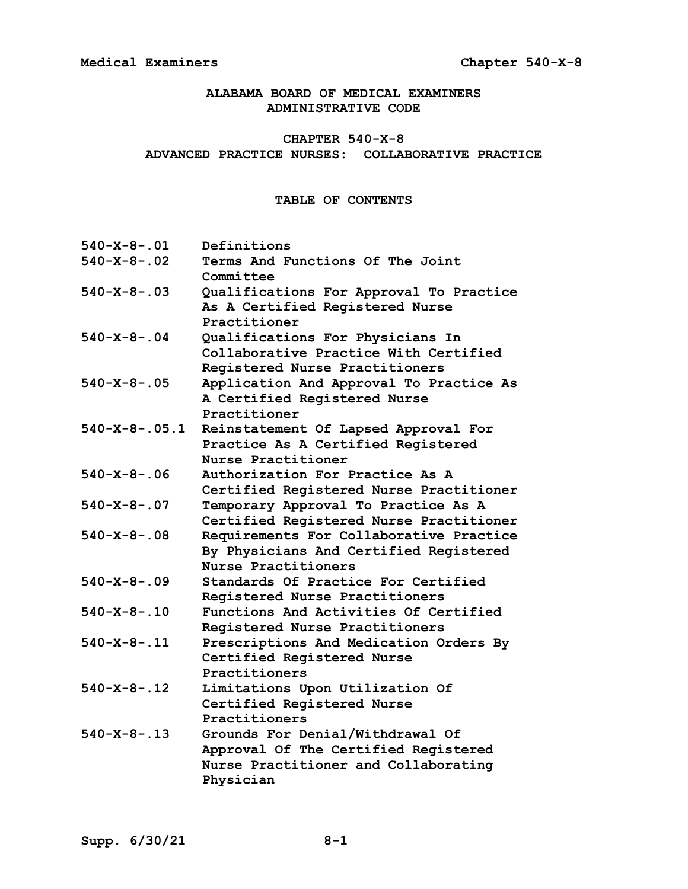**ALABAMA BOARD OF MEDICAL EXAMINERS ADMINISTRATIVE CODE**

# **CHAPTER 540-X-8 ADVANCED PRACTICE NURSES: COLLABORATIVE PRACTICE**

# **TABLE OF CONTENTS**

| $540 - X - 8 - 01$    | Definitions                                                                                                                   |
|-----------------------|-------------------------------------------------------------------------------------------------------------------------------|
| $540 - X - 8 - 02$    | Terms And Functions Of The Joint<br>Committee                                                                                 |
| $540 - X - 8 - 03$    | Qualifications For Approval To Practice<br>As A Certified Registered Nurse<br>Practitioner                                    |
| $540 - X - 8 - 04$    | Qualifications For Physicians In<br>Collaborative Practice With Certified<br>Registered Nurse Practitioners                   |
| $540 - X - 8 - 0.05$  | Application And Approval To Practice As<br>A Certified Registered Nurse<br>Practitioner                                       |
| $540 - X - 8 - .05.1$ | Reinstatement Of Lapsed Approval For<br>Practice As A Certified Registered<br>Nurse Practitioner                              |
| $540 - X - 8 - .06$   | Authorization For Practice As A<br>Certified Registered Nurse Practitioner                                                    |
| $540 - X - 8 - .07$   | Temporary Approval To Practice As A<br>Certified Registered Nurse Practitioner                                                |
| $540 - X - 8 - .08$   | Requirements For Collaborative Practice<br>By Physicians And Certified Registered<br>Nurse Practitioners                      |
| $540 - X - 8 - .09$   | Standards Of Practice For Certified<br>Registered Nurse Practitioners                                                         |
| $540 - X - 8 - 10$    | Functions And Activities Of Certified<br>Registered Nurse Practitioners                                                       |
| $540 - X - 8 - 11$    | Prescriptions And Medication Orders By<br>Certified Registered Nurse<br>Practitioners                                         |
| $540 - X - 8 - 12$    | Limitations Upon Utilization Of<br>Certified Registered Nurse<br>Practitioners                                                |
| $540 - X - 8 - 13$    | Grounds For Denial/Withdrawal Of<br>Approval Of The Certified Registered<br>Nurse Practitioner and Collaborating<br>Physician |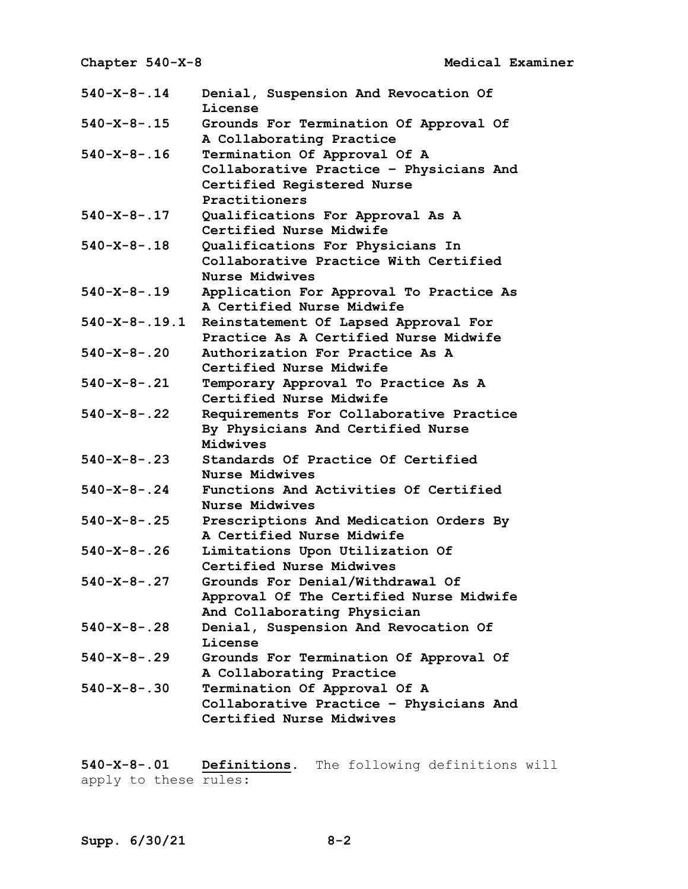| $540 - X - 8 - .14$    | Denial, Suspension And Revocation Of<br>License                                                                        |
|------------------------|------------------------------------------------------------------------------------------------------------------------|
| $540 - X - 8 - .15$    | Grounds For Termination Of Approval Of<br>A Collaborating Practice                                                     |
| $540 - X - 8 - .16$    | Termination Of Approval Of A<br>Collaborative Practice - Physicians And<br>Certified Registered Nurse<br>Practitioners |
| $540 - X - 8 - .17$    | Qualifications For Approval As A<br>Certified Nurse Midwife                                                            |
| $540 - X - 8 - .18$    | Qualifications For Physicians In<br>Collaborative Practice With Certified<br>Nurse Midwives                            |
| $540 - X - 8 - 19$     | Application For Approval To Practice As<br>A Certified Nurse Midwife                                                   |
| $540 - X - 8 - 0.19.1$ | Reinstatement Of Lapsed Approval For<br>Practice As A Certified Nurse Midwife                                          |
| $540 - X - 8 - .20$    | Authorization For Practice As A<br>Certified Nurse Midwife                                                             |
| $540 - X - 8 - .21$    | Temporary Approval To Practice As A<br>Certified Nurse Midwife                                                         |
| $540 - X - 8 - .22$    | Requirements For Collaborative Practice<br>By Physicians And Certified Nurse<br>Midwives                               |
| $540 - X - 8 - .23$    | Standards Of Practice Of Certified<br>Nurse Midwives                                                                   |
| $540 - X - 8 - .24$    | Functions And Activities Of Certified<br>Nurse Midwives                                                                |
| $540 - X - 8 - .25$    | Prescriptions And Medication Orders By<br>A Certified Nurse Midwife                                                    |
| $540 - X - 8 - .26$    | Limitations Upon Utilization Of<br>Certified Nurse Midwives                                                            |
| $540 - X - 8 - .27$    | Grounds For Denial/Withdrawal Of<br>Approval Of The Certified Nurse Midwife<br>And Collaborating Physician             |
| $540 - X - 8 - .28$    | Denial, Suspension And Revocation Of<br>License                                                                        |
| $540 - X - 8 - .29$    | Grounds For Termination Of Approval Of<br>A Collaborating Practice                                                     |
| $540 - X - 8 - .30$    | Termination Of Approval Of A<br>Collaborative Practice - Physicians And<br>Certified Nurse Midwives                    |

**540-X-8-.01 Definitions.** The following definitions will apply to these rules: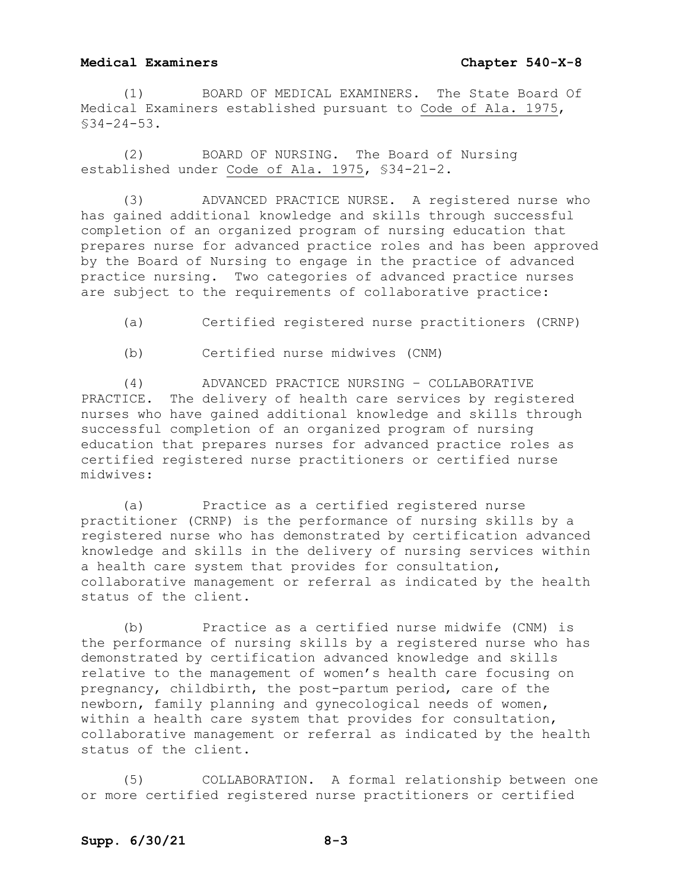(1) BOARD OF MEDICAL EXAMINERS. The State Board Of Medical Examiners established pursuant to Code of Ala. 1975, §34-24-53.

(2) BOARD OF NURSING. The Board of Nursing established under Code of Ala. 1975, §34-21-2.

(3) ADVANCED PRACTICE NURSE. A registered nurse who has gained additional knowledge and skills through successful completion of an organized program of nursing education that prepares nurse for advanced practice roles and has been approved by the Board of Nursing to engage in the practice of advanced practice nursing. Two categories of advanced practice nurses are subject to the requirements of collaborative practice:

(a) Certified registered nurse practitioners (CRNP)

(b) Certified nurse midwives (CNM)

(4) ADVANCED PRACTICE NURSING – COLLABORATIVE PRACTICE. The delivery of health care services by registered nurses who have gained additional knowledge and skills through successful completion of an organized program of nursing education that prepares nurses for advanced practice roles as certified registered nurse practitioners or certified nurse midwives:

(a) Practice as a certified registered nurse practitioner (CRNP) is the performance of nursing skills by a registered nurse who has demonstrated by certification advanced knowledge and skills in the delivery of nursing services within a health care system that provides for consultation, collaborative management or referral as indicated by the health status of the client.

(b) Practice as a certified nurse midwife (CNM) is the performance of nursing skills by a registered nurse who has demonstrated by certification advanced knowledge and skills relative to the management of women's health care focusing on pregnancy, childbirth, the post-partum period, care of the newborn, family planning and gynecological needs of women, within a health care system that provides for consultation, collaborative management or referral as indicated by the health status of the client.

(5) COLLABORATION. A formal relationship between one or more certified registered nurse practitioners or certified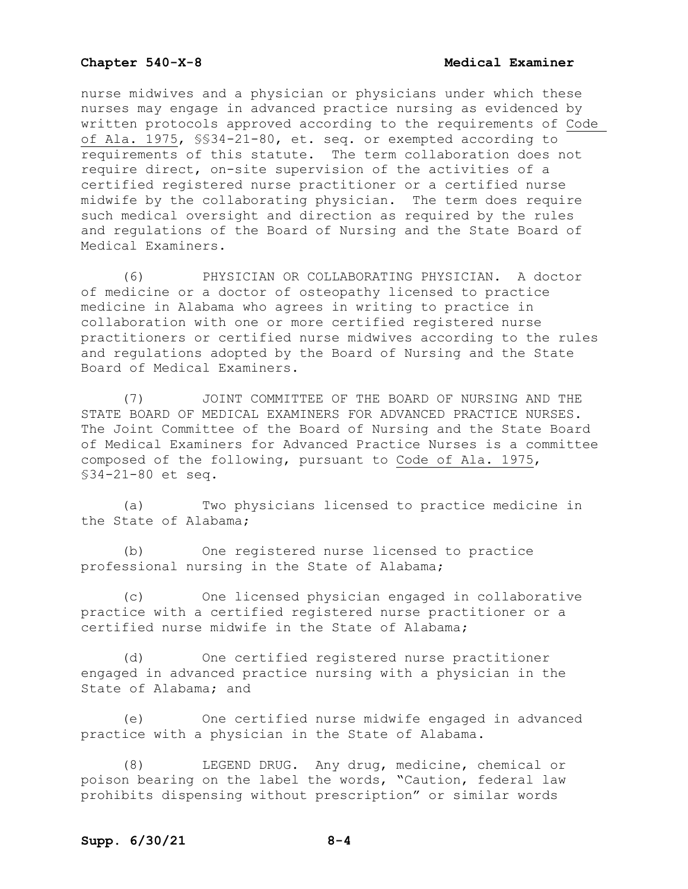nurse midwives and a physician or physicians under which these nurses may engage in advanced practice nursing as evidenced by written protocols approved according to the requirements of Code of Ala. 1975, §§34-21-80, et. seq. or exempted according to requirements of this statute. The term collaboration does not require direct, on-site supervision of the activities of a certified registered nurse practitioner or a certified nurse midwife by the collaborating physician. The term does require such medical oversight and direction as required by the rules and regulations of the Board of Nursing and the State Board of Medical Examiners.

(6) PHYSICIAN OR COLLABORATING PHYSICIAN. A doctor of medicine or a doctor of osteopathy licensed to practice medicine in Alabama who agrees in writing to practice in collaboration with one or more certified registered nurse practitioners or certified nurse midwives according to the rules and regulations adopted by the Board of Nursing and the State Board of Medical Examiners.

(7) JOINT COMMITTEE OF THE BOARD OF NURSING AND THE STATE BOARD OF MEDICAL EXAMINERS FOR ADVANCED PRACTICE NURSES. The Joint Committee of the Board of Nursing and the State Board of Medical Examiners for Advanced Practice Nurses is a committee composed of the following, pursuant to Code of Ala. 1975, §34-21-80 et seq.

(a) Two physicians licensed to practice medicine in the State of Alabama;

(b) One registered nurse licensed to practice professional nursing in the State of Alabama;

(c) One licensed physician engaged in collaborative practice with a certified registered nurse practitioner or a certified nurse midwife in the State of Alabama;

(d) One certified registered nurse practitioner engaged in advanced practice nursing with a physician in the State of Alabama; and

(e) One certified nurse midwife engaged in advanced practice with a physician in the State of Alabama.

(8) LEGEND DRUG. Any drug, medicine, chemical or poison bearing on the label the words, "Caution, federal law prohibits dispensing without prescription" or similar words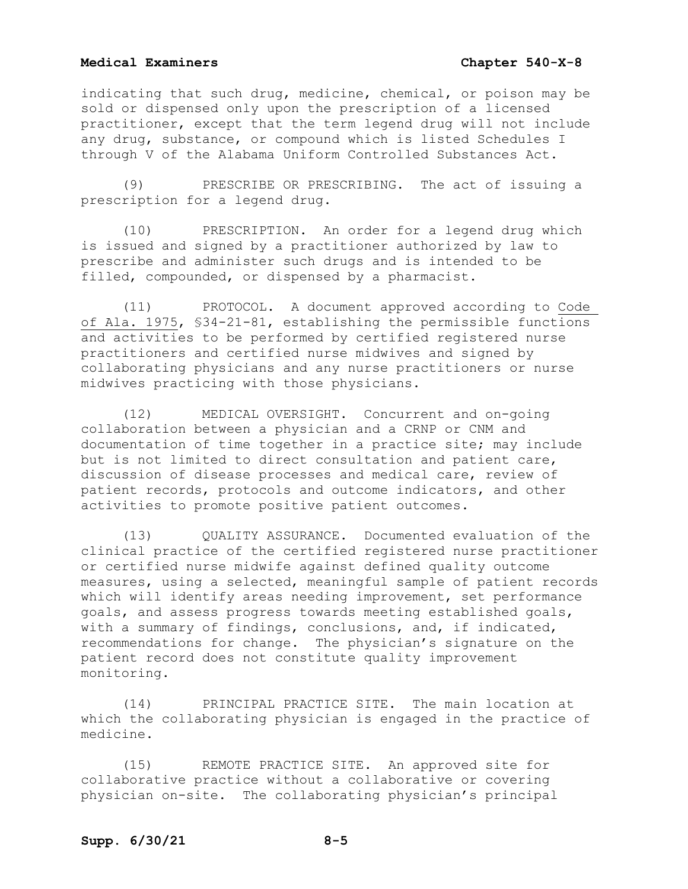indicating that such drug, medicine, chemical, or poison may be sold or dispensed only upon the prescription of a licensed practitioner, except that the term legend drug will not include any drug, substance, or compound which is listed Schedules I through V of the Alabama Uniform Controlled Substances Act.

(9) PRESCRIBE OR PRESCRIBING. The act of issuing a prescription for a legend drug.

(10) PRESCRIPTION. An order for a legend drug which is issued and signed by a practitioner authorized by law to prescribe and administer such drugs and is intended to be filled, compounded, or dispensed by a pharmacist.

(11) PROTOCOL. A document approved according to Code of Ala. 1975, §34-21-81, establishing the permissible functions and activities to be performed by certified registered nurse practitioners and certified nurse midwives and signed by collaborating physicians and any nurse practitioners or nurse midwives practicing with those physicians.

(12) MEDICAL OVERSIGHT. Concurrent and on-going collaboration between a physician and a CRNP or CNM and documentation of time together in a practice site; may include but is not limited to direct consultation and patient care, discussion of disease processes and medical care, review of patient records, protocols and outcome indicators, and other activities to promote positive patient outcomes.

(13) QUALITY ASSURANCE. Documented evaluation of the clinical practice of the certified registered nurse practitioner or certified nurse midwife against defined quality outcome measures, using a selected, meaningful sample of patient records which will identify areas needing improvement, set performance goals, and assess progress towards meeting established goals, with a summary of findings, conclusions, and, if indicated, recommendations for change. The physician's signature on the patient record does not constitute quality improvement monitoring.

(14) PRINCIPAL PRACTICE SITE. The main location at which the collaborating physician is engaged in the practice of medicine.

(15) REMOTE PRACTICE SITE. An approved site for collaborative practice without a collaborative or covering physician on-site. The collaborating physician's principal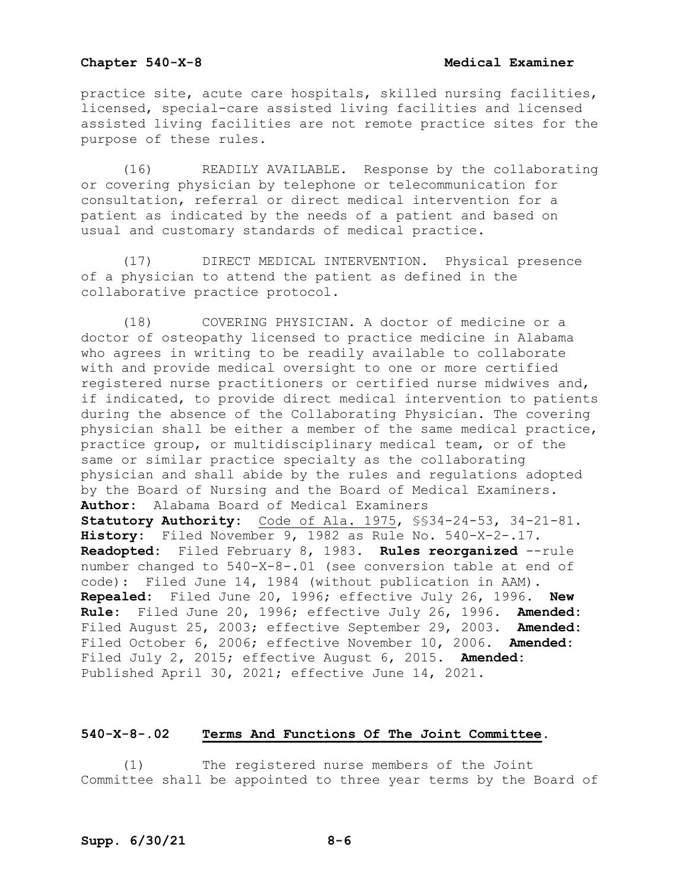practice site, acute care hospitals, skilled nursing facilities, licensed, special-care assisted living facilities and licensed assisted living facilities are not remote practice sites for the purpose of these rules.

(16) READILY AVAILABLE. Response by the collaborating or covering physician by telephone or telecommunication for consultation, referral or direct medical intervention for a patient as indicated by the needs of a patient and based on usual and customary standards of medical practice.

(17) DIRECT MEDICAL INTERVENTION. Physical presence of a physician to attend the patient as defined in the collaborative practice protocol.

(18) COVERING PHYSICIAN. A doctor of medicine or a doctor of osteopathy licensed to practice medicine in Alabama who agrees in writing to be readily available to collaborate with and provide medical oversight to one or more certified registered nurse practitioners or certified nurse midwives and, if indicated, to provide direct medical intervention to patients during the absence of the Collaborating Physician. The covering physician shall be either a member of the same medical practice, practice group, or multidisciplinary medical team, or of the same or similar practice specialty as the collaborating physician and shall abide by the rules and regulations adopted by the Board of Nursing and the Board of Medical Examiners. **Author:** Alabama Board of Medical Examiners **Statutory Authority:** Code of Ala. 1975, §§34-24-53, 34-21-81. **History:** Filed November 9, 1982 as Rule No. 540-X-2-.17. **Readopted:** Filed February 8, 1983. **Rules reorganized** --rule number changed to 540-X-8-.01 (see conversion table at end of code): Filed June 14, 1984 (without publication in AAM). **Repealed:** Filed June 20, 1996; effective July 26, 1996. **New Rule:** Filed June 20, 1996; effective July 26, 1996. **Amended:** Filed August 25, 2003; effective September 29, 2003. **Amended:** Filed October 6, 2006; effective November 10, 2006. **Amended:** Filed July 2, 2015; effective August 6, 2015. **Amended:** Published April 30, 2021; effective June 14, 2021.

## **540-X-8-.02 Terms And Functions Of The Joint Committee.**

(1) The registered nurse members of the Joint Committee shall be appointed to three year terms by the Board of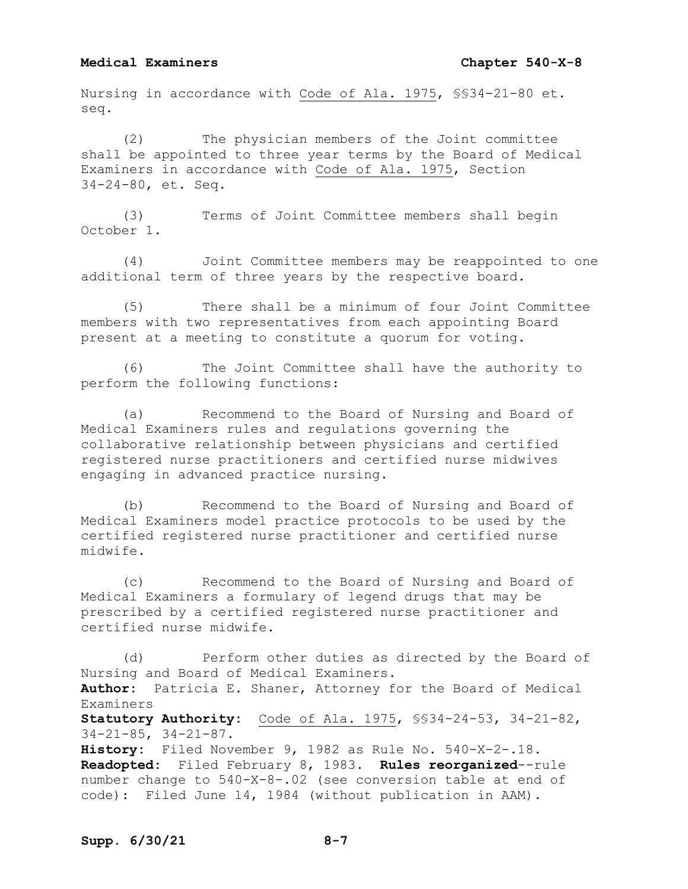Nursing in accordance with Code of Ala. 1975, §§34-21-80 et. seq.

(2) The physician members of the Joint committee shall be appointed to three year terms by the Board of Medical Examiners in accordance with Code of Ala. 1975, Section 34-24-80, et. Seq.

(3) Terms of Joint Committee members shall begin October 1.

(4) Joint Committee members may be reappointed to one additional term of three years by the respective board.

(5) There shall be a minimum of four Joint Committee members with two representatives from each appointing Board present at a meeting to constitute a quorum for voting.

(6) The Joint Committee shall have the authority to perform the following functions:

(a) Recommend to the Board of Nursing and Board of Medical Examiners rules and regulations governing the collaborative relationship between physicians and certified registered nurse practitioners and certified nurse midwives engaging in advanced practice nursing.

(b) Recommend to the Board of Nursing and Board of Medical Examiners model practice protocols to be used by the certified registered nurse practitioner and certified nurse midwife.

(c) Recommend to the Board of Nursing and Board of Medical Examiners a formulary of legend drugs that may be prescribed by a certified registered nurse practitioner and certified nurse midwife.

(d) Perform other duties as directed by the Board of Nursing and Board of Medical Examiners. **Author:** Patricia E. Shaner, Attorney for the Board of Medical Examiners **Statutory Authority:** Code of Ala. 1975, §§34-24-53, 34-21-82, 34-21-85, 34-21-87. **History:** Filed November 9, 1982 as Rule No. 540-X-2-.18. **Readopted:** Filed February 8, 1983. **Rules reorganized**--rule number change to 540-X-8-.02 (see conversion table at end of code): Filed June 14, 1984 (without publication in AAM).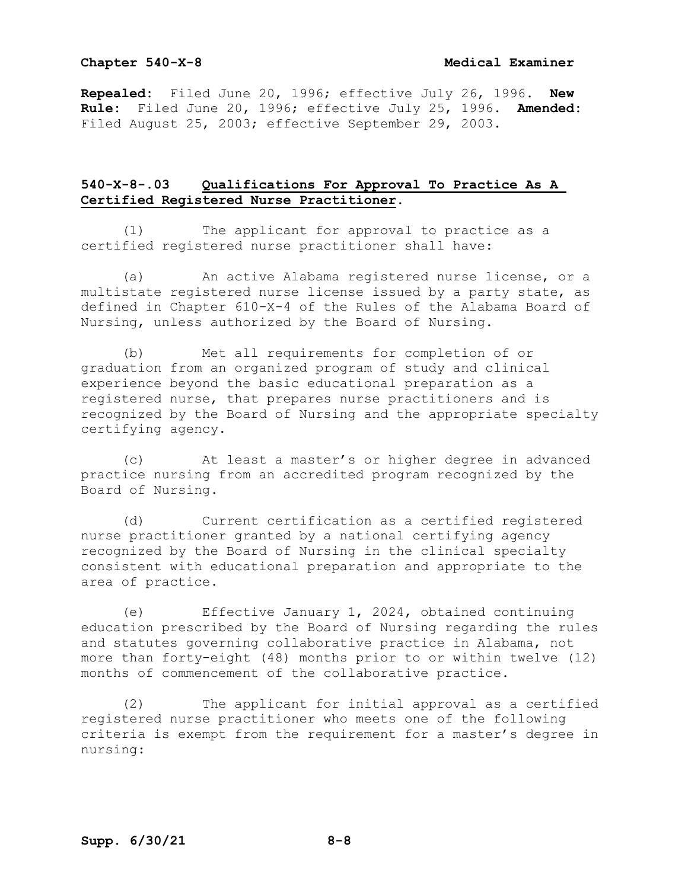## **Chapter 540-X-8 Medical Examiner**

**Repealed:** Filed June 20, 1996; effective July 26, 1996. **New Rule:** Filed June 20, 1996; effective July 25, 1996. **Amended:** Filed August 25, 2003; effective September 29, 2003.

# **540-X-8-.03 Qualifications For Approval To Practice As A Certified Registered Nurse Practitioner.**

(1) The applicant for approval to practice as a certified registered nurse practitioner shall have:

(a) An active Alabama registered nurse license, or a multistate registered nurse license issued by a party state, as defined in Chapter 610-X-4 of the Rules of the Alabama Board of Nursing, unless authorized by the Board of Nursing.

(b) Met all requirements for completion of or graduation from an organized program of study and clinical experience beyond the basic educational preparation as a registered nurse, that prepares nurse practitioners and is recognized by the Board of Nursing and the appropriate specialty certifying agency.

(c) At least a master's or higher degree in advanced practice nursing from an accredited program recognized by the Board of Nursing.

(d) Current certification as a certified registered nurse practitioner granted by a national certifying agency recognized by the Board of Nursing in the clinical specialty consistent with educational preparation and appropriate to the area of practice.

(e) Effective January 1, 2024, obtained continuing education prescribed by the Board of Nursing regarding the rules and statutes governing collaborative practice in Alabama, not more than forty-eight (48) months prior to or within twelve (12) months of commencement of the collaborative practice.

(2) The applicant for initial approval as a certified registered nurse practitioner who meets one of the following criteria is exempt from the requirement for a master's degree in nursing: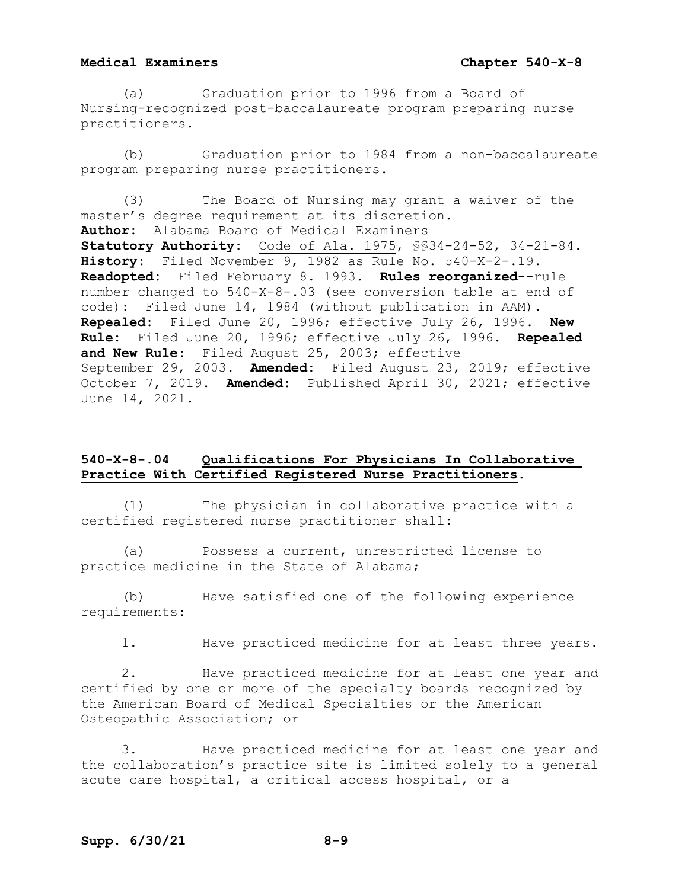(a) Graduation prior to 1996 from a Board of Nursing-recognized post-baccalaureate program preparing nurse practitioners.

(b) Graduation prior to 1984 from a non-baccalaureate program preparing nurse practitioners.

(3) The Board of Nursing may grant a waiver of the master's degree requirement at its discretion. **Author:** Alabama Board of Medical Examiners **Statutory Authority:** Code of Ala. 1975, §§34-24-52, 34-21-84. History: Filed November  $\overline{9, 1982}$  as Rule No. 540-X-2-.19. **Readopted:** Filed February 8. 1993. **Rules reorganized**--rule number changed to 540-X-8-.03 (see conversion table at end of code): Filed June 14, 1984 (without publication in AAM). **Repealed:** Filed June 20, 1996; effective July 26, 1996. **New Rule:** Filed June 20, 1996; effective July 26, 1996. **Repealed and New Rule:** Filed August 25, 2003; effective September 29, 2003. **Amended:** Filed August 23, 2019; effective October 7, 2019. **Amended:** Published April 30, 2021; effective June 14, 2021.

# **540-X-8-.04 Qualifications For Physicians In Collaborative Practice With Certified Registered Nurse Practitioners.**

(1) The physician in collaborative practice with a certified registered nurse practitioner shall:

(a) Possess a current, unrestricted license to practice medicine in the State of Alabama;

(b) Have satisfied one of the following experience requirements:

1. Have practiced medicine for at least three years.

2. Have practiced medicine for at least one year and certified by one or more of the specialty boards recognized by the American Board of Medical Specialties or the American Osteopathic Association; or

3. Have practiced medicine for at least one year and the collaboration's practice site is limited solely to a general acute care hospital, a critical access hospital, or a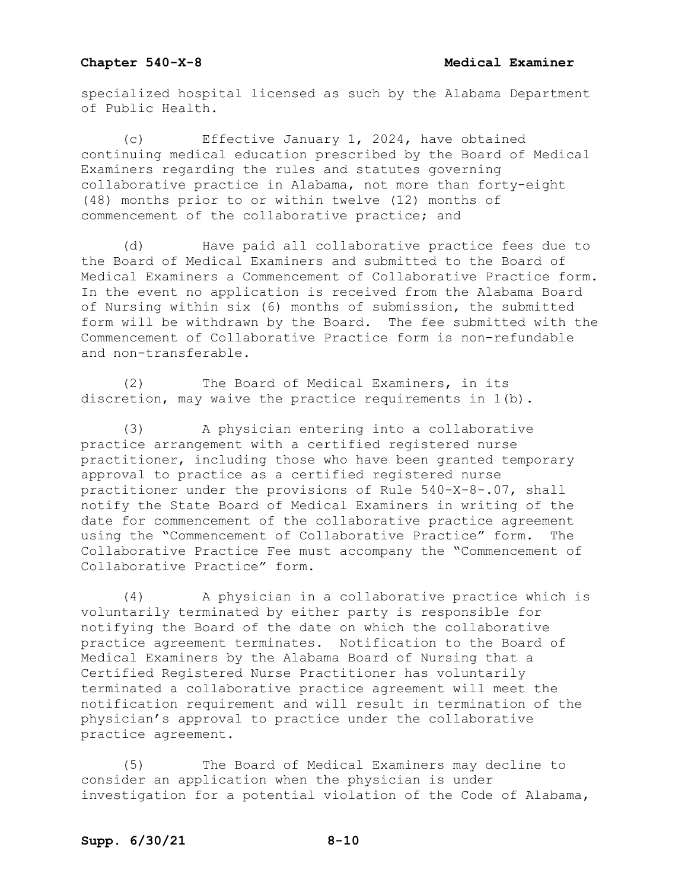specialized hospital licensed as such by the Alabama Department of Public Health.

(c) Effective January 1, 2024, have obtained continuing medical education prescribed by the Board of Medical Examiners regarding the rules and statutes governing collaborative practice in Alabama, not more than forty-eight (48) months prior to or within twelve (12) months of commencement of the collaborative practice; and

(d) Have paid all collaborative practice fees due to the Board of Medical Examiners and submitted to the Board of Medical Examiners a Commencement of Collaborative Practice form. In the event no application is received from the Alabama Board of Nursing within six (6) months of submission, the submitted form will be withdrawn by the Board. The fee submitted with the Commencement of Collaborative Practice form is non-refundable and non-transferable.

(2) The Board of Medical Examiners, in its discretion, may waive the practice requirements in 1(b).

(3) A physician entering into a collaborative practice arrangement with a certified registered nurse practitioner, including those who have been granted temporary approval to practice as a certified registered nurse practitioner under the provisions of Rule 540-X-8-.07, shall notify the State Board of Medical Examiners in writing of the date for commencement of the collaborative practice agreement using the "Commencement of Collaborative Practice" form. The Collaborative Practice Fee must accompany the "Commencement of Collaborative Practice" form.

(4) A physician in a collaborative practice which is voluntarily terminated by either party is responsible for notifying the Board of the date on which the collaborative practice agreement terminates. Notification to the Board of Medical Examiners by the Alabama Board of Nursing that a Certified Registered Nurse Practitioner has voluntarily terminated a collaborative practice agreement will meet the notification requirement and will result in termination of the physician's approval to practice under the collaborative practice agreement.

(5) The Board of Medical Examiners may decline to consider an application when the physician is under investigation for a potential violation of the Code of Alabama,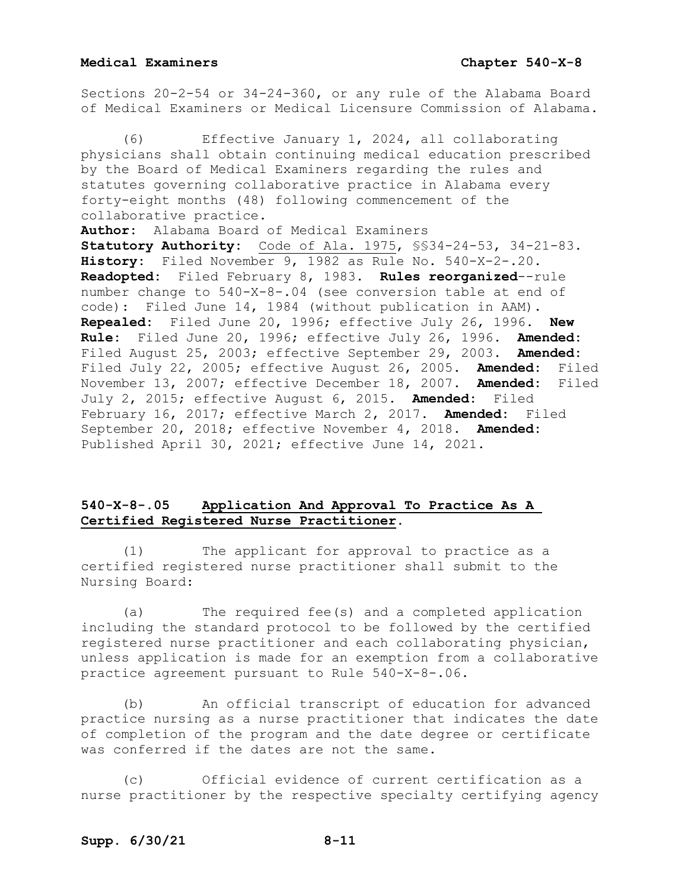Sections 20-2-54 or 34-24-360, or any rule of the Alabama Board of Medical Examiners or Medical Licensure Commission of Alabama.

Effective January 1, 2024, all collaborating physicians shall obtain continuing medical education prescribed by the Board of Medical Examiners regarding the rules and statutes governing collaborative practice in Alabama every forty-eight months (48) following commencement of the collaborative practice. **Author:** Alabama Board of Medical Examiners **Statutory Authority:** Code of Ala. 1975, §§34-24-53, 34-21-83. History: Filed November  $\overline{9, 1982}$  as Rule No. 540-X-2-.20. **Readopted:** Filed February 8, 1983. **Rules reorganized**--rule number change to 540-X-8-.04 (see conversion table at end of code): Filed June 14, 1984 (without publication in AAM). **Repealed:** Filed June 20, 1996; effective July 26, 1996. **New Rule:** Filed June 20, 1996; effective July 26, 1996. **Amended:** Filed August 25, 2003; effective September 29, 2003. **Amended:** Filed July 22, 2005; effective August 26, 2005. **Amended:** Filed November 13, 2007; effective December 18, 2007. **Amended:** Filed July 2, 2015; effective August 6, 2015. **Amended:** Filed February 16, 2017; effective March 2, 2017. Amended: September 20, 2018; effective November 4, 2018. **Amended:** Published April 30, 2021; effective June 14, 2021.

# **540-X-8-.05 Application And Approval To Practice As A Certified Registered Nurse Practitioner.**

(1) The applicant for approval to practice as a certified registered nurse practitioner shall submit to the Nursing Board:

(a) The required fee(s) and a completed application including the standard protocol to be followed by the certified registered nurse practitioner and each collaborating physician, unless application is made for an exemption from a collaborative practice agreement pursuant to Rule 540-X-8-.06.

(b) An official transcript of education for advanced practice nursing as a nurse practitioner that indicates the date of completion of the program and the date degree or certificate was conferred if the dates are not the same.

(c) Official evidence of current certification as a nurse practitioner by the respective specialty certifying agency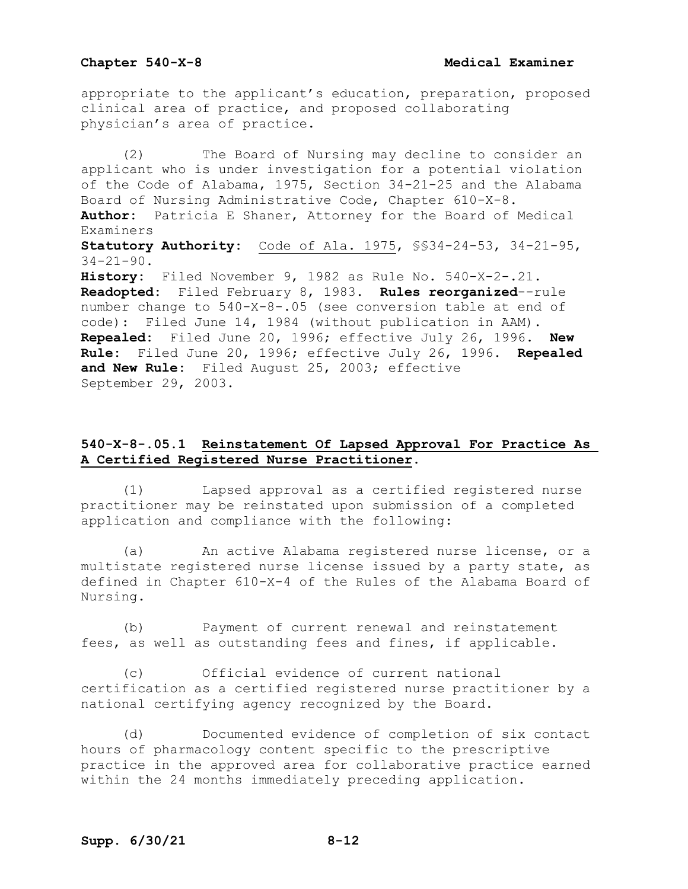appropriate to the applicant's education, preparation, proposed clinical area of practice, and proposed collaborating physician's area of practice.

(2) The Board of Nursing may decline to consider an applicant who is under investigation for a potential violation of the Code of Alabama, 1975, Section 34-21-25 and the Alabama Board of Nursing Administrative Code, Chapter 610-X-8. **Author:** Patricia E Shaner, Attorney for the Board of Medical Examiners **Statutory Authority:** Code of Ala. 1975, §§34-24-53, 34-21-95,  $34 - 21 - 90$ . **History:** Filed November 9, 1982 as Rule No. 540-X-2-.21. **Readopted:** Filed February 8, 1983. **Rules reorganized**--rule number change to 540-X-8-.05 (see conversion table at end of code): Filed June 14, 1984 (without publication in AAM). **Repealed:** Filed June 20, 1996; effective July 26, 1996. **New Rule:** Filed June 20, 1996; effective July 26, 1996. **Repealed and New Rule:** Filed August 25, 2003; effective September 29, 2003.

# **540-X-8-.05.1 Reinstatement Of Lapsed Approval For Practice As A Certified Registered Nurse Practitioner**.

(1) Lapsed approval as a certified registered nurse practitioner may be reinstated upon submission of a completed application and compliance with the following:

(a) An active Alabama registered nurse license, or a multistate registered nurse license issued by a party state, as defined in Chapter 610-X-4 of the Rules of the Alabama Board of Nursing.

(b) Payment of current renewal and reinstatement fees, as well as outstanding fees and fines, if applicable.

(c) Official evidence of current national certification as a certified registered nurse practitioner by a national certifying agency recognized by the Board.

(d) Documented evidence of completion of six contact hours of pharmacology content specific to the prescriptive practice in the approved area for collaborative practice earned within the 24 months immediately preceding application.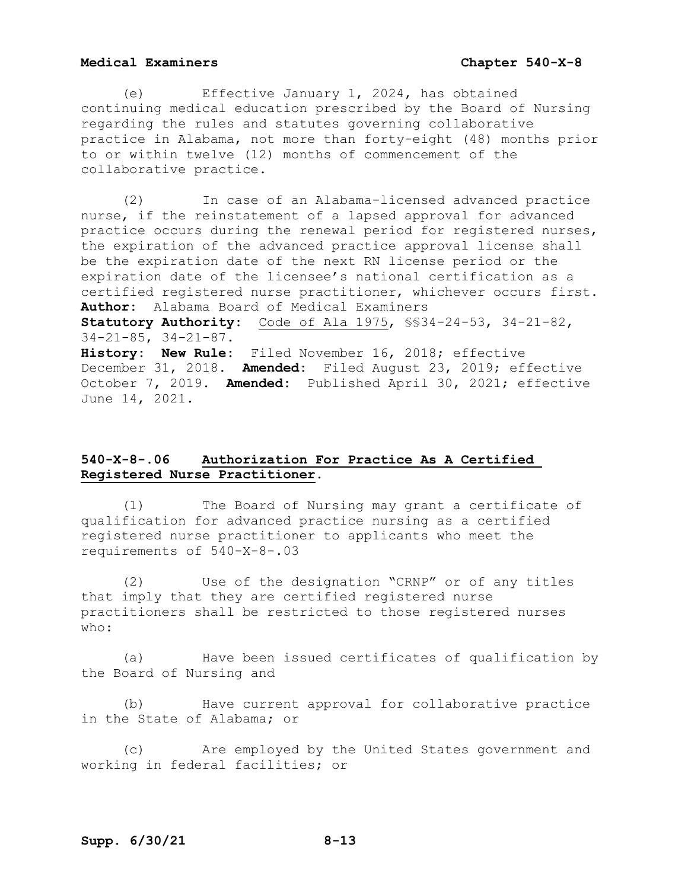(e) Effective January 1, 2024, has obtained continuing medical education prescribed by the Board of Nursing regarding the rules and statutes governing collaborative practice in Alabama, not more than forty-eight (48) months prior to or within twelve (12) months of commencement of the collaborative practice.

(2) In case of an Alabama-licensed advanced practice nurse, if the reinstatement of a lapsed approval for advanced practice occurs during the renewal period for registered nurses, the expiration of the advanced practice approval license shall be the expiration date of the next RN license period or the expiration date of the licensee's national certification as a certified registered nurse practitioner, whichever occurs first. **Author:** Alabama Board of Medical Examiners

**Statutory Authority:** Code of Ala 1975, §§34-24-53, 34-21-82, 34-21-85, 34-21-87.

**History: New Rule:** Filed November 16, 2018; effective December 31, 2018. **Amended:** Filed August 23, 2019; effective October 7, 2019. **Amended:** Published April 30, 2021; effective June 14, 2021.

# **540-X-8-.06 Authorization For Practice As A Certified Registered Nurse Practitioner.**

(1) The Board of Nursing may grant a certificate of qualification for advanced practice nursing as a certified registered nurse practitioner to applicants who meet the requirements of 540-X-8-.03

(2) Use of the designation "CRNP" or of any titles that imply that they are certified registered nurse practitioners shall be restricted to those registered nurses who:

(a) Have been issued certificates of qualification by the Board of Nursing and

(b) Have current approval for collaborative practice in the State of Alabama; or

(c) Are employed by the United States government and working in federal facilities; or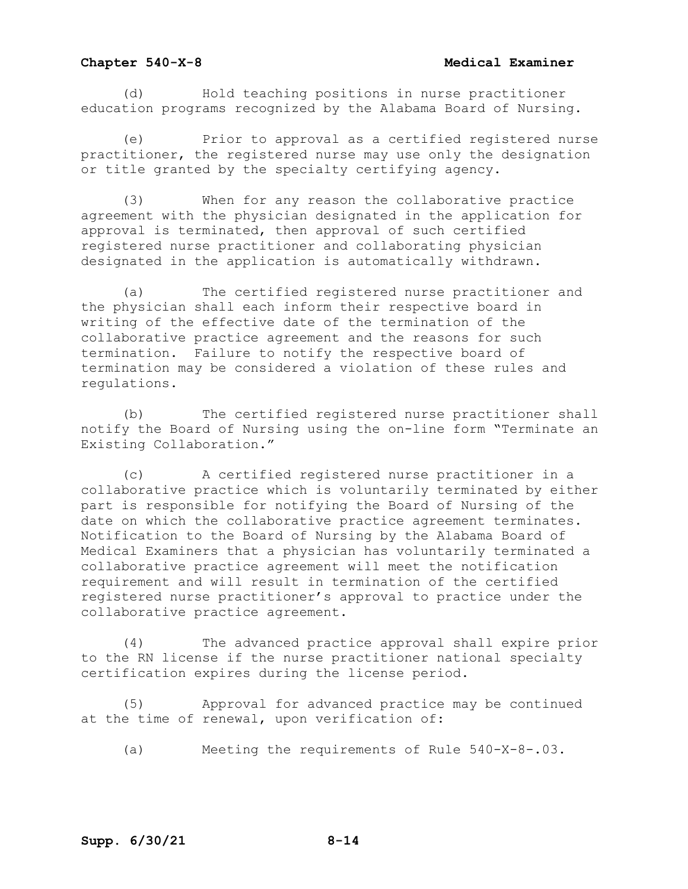## **Chapter 540-X-8 Medical Examiner**

(d) Hold teaching positions in nurse practitioner education programs recognized by the Alabama Board of Nursing.

(e) Prior to approval as a certified registered nurse practitioner, the registered nurse may use only the designation or title granted by the specialty certifying agency.

(3) When for any reason the collaborative practice agreement with the physician designated in the application for approval is terminated, then approval of such certified registered nurse practitioner and collaborating physician designated in the application is automatically withdrawn.

(a) The certified registered nurse practitioner and the physician shall each inform their respective board in writing of the effective date of the termination of the collaborative practice agreement and the reasons for such termination. Failure to notify the respective board of termination may be considered a violation of these rules and regulations.

(b) The certified registered nurse practitioner shall notify the Board of Nursing using the on-line form "Terminate an Existing Collaboration."

(c) A certified registered nurse practitioner in a collaborative practice which is voluntarily terminated by either part is responsible for notifying the Board of Nursing of the date on which the collaborative practice agreement terminates. Notification to the Board of Nursing by the Alabama Board of Medical Examiners that a physician has voluntarily terminated a collaborative practice agreement will meet the notification requirement and will result in termination of the certified registered nurse practitioner's approval to practice under the collaborative practice agreement.

(4) The advanced practice approval shall expire prior to the RN license if the nurse practitioner national specialty certification expires during the license period.

(5) Approval for advanced practice may be continued at the time of renewal, upon verification of:

(a) Meeting the requirements of Rule 540-X-8-.03.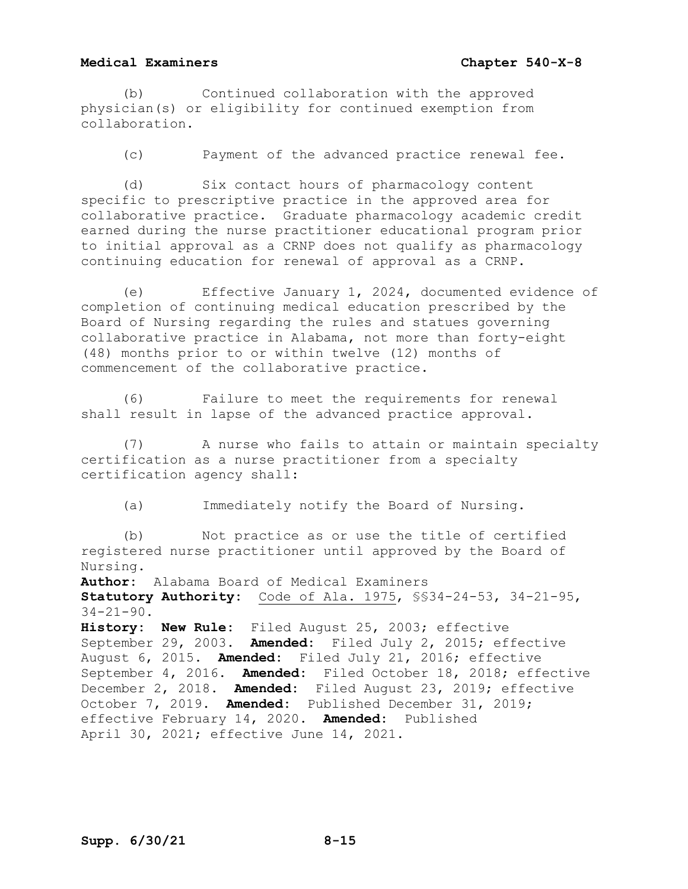(b) Continued collaboration with the approved physician(s) or eligibility for continued exemption from collaboration.

(c) Payment of the advanced practice renewal fee.

(d) Six contact hours of pharmacology content specific to prescriptive practice in the approved area for collaborative practice. Graduate pharmacology academic credit earned during the nurse practitioner educational program prior to initial approval as a CRNP does not qualify as pharmacology continuing education for renewal of approval as a CRNP.

(e) Effective January 1, 2024, documented evidence of completion of continuing medical education prescribed by the Board of Nursing regarding the rules and statues governing collaborative practice in Alabama, not more than forty-eight (48) months prior to or within twelve (12) months of commencement of the collaborative practice.

(6) Failure to meet the requirements for renewal shall result in lapse of the advanced practice approval.

(7) A nurse who fails to attain or maintain specialty certification as a nurse practitioner from a specialty certification agency shall:

(a) Immediately notify the Board of Nursing.

(b) Not practice as or use the title of certified registered nurse practitioner until approved by the Board of Nursing.

**Author:** Alabama Board of Medical Examiners **Statutory Authority:** Code of Ala. 1975, §§34-24-53, 34-21-95,

 $34 - 21 - 90$ .

**History: New Rule:** Filed August 25, 2003; effective September 29, 2003. **Amended:** Filed July 2, 2015; effective August 6, 2015. **Amended:** Filed July 21, 2016; effective September 4, 2016. **Amended:** Filed October 18, 2018; effective December 2, 2018. **Amended:** Filed August 23, 2019; effective October 7, 2019. **Amended:** Published December 31, 2019; effective February 14, 2020. **Amended:** Published April 30, 2021; effective June 14, 2021.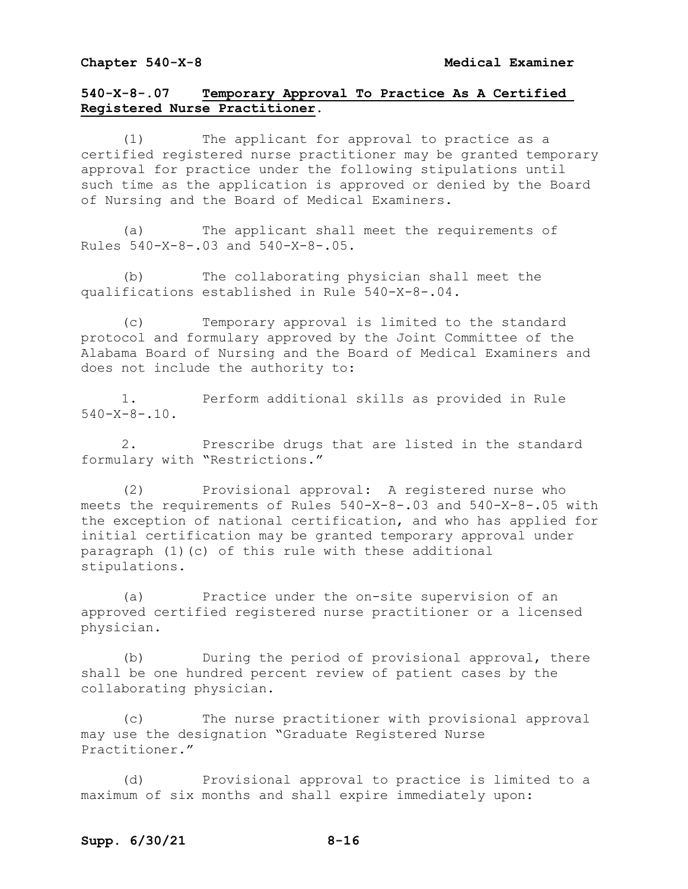# **540-X-8-.07 Temporary Approval To Practice As A Certified Registered Nurse Practitioner.**

(1) The applicant for approval to practice as a certified registered nurse practitioner may be granted temporary approval for practice under the following stipulations until such time as the application is approved or denied by the Board of Nursing and the Board of Medical Examiners.

(a) The applicant shall meet the requirements of Rules 540-X-8-.03 and 540-X-8-.05.

(b) The collaborating physician shall meet the qualifications established in Rule 540-X-8-.04.

(c) Temporary approval is limited to the standard protocol and formulary approved by the Joint Committee of the Alabama Board of Nursing and the Board of Medical Examiners and does not include the authority to:

1. Perform additional skills as provided in Rule  $540 - X - 8 - 10$ .

2. Prescribe drugs that are listed in the standard formulary with "Restrictions."

(2) Provisional approval: A registered nurse who meets the requirements of Rules 540-X-8-.03 and 540-X-8-.05 with the exception of national certification, and who has applied for initial certification may be granted temporary approval under paragraph (1)(c) of this rule with these additional stipulations.

(a) Practice under the on-site supervision of an approved certified registered nurse practitioner or a licensed physician.

(b) During the period of provisional approval, there shall be one hundred percent review of patient cases by the collaborating physician.

(c) The nurse practitioner with provisional approval may use the designation "Graduate Registered Nurse Practitioner."

(d) Provisional approval to practice is limited to a maximum of six months and shall expire immediately upon: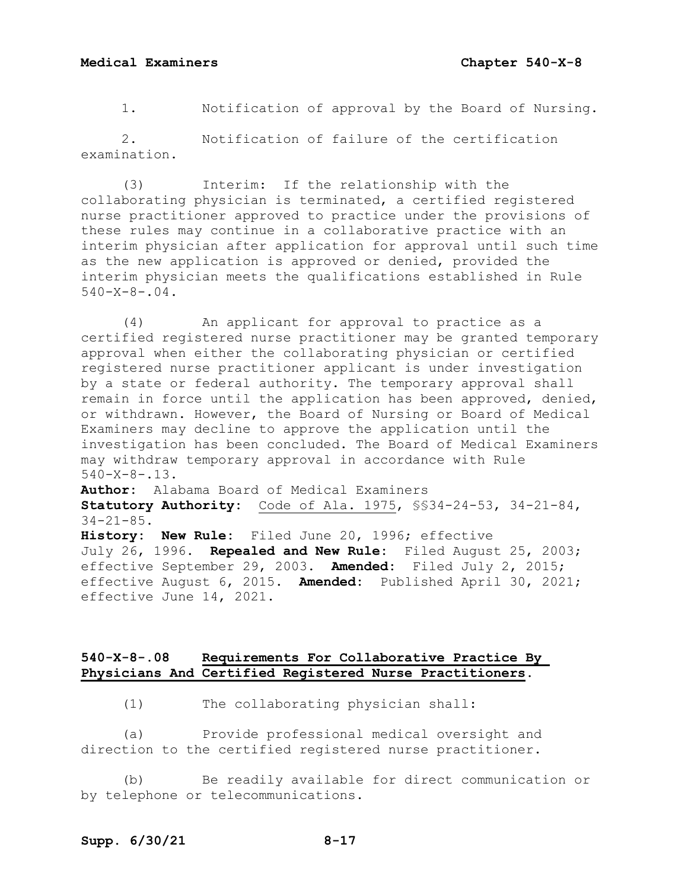1. Notification of approval by the Board of Nursing.

2. Notification of failure of the certification examination.

(3) Interim: If the relationship with the collaborating physician is terminated, a certified registered nurse practitioner approved to practice under the provisions of these rules may continue in a collaborative practice with an interim physician after application for approval until such time as the new application is approved or denied, provided the interim physician meets the qualifications established in Rule  $540 - X - 8 - 04$ .

(4) An applicant for approval to practice as a certified registered nurse practitioner may be granted temporary approval when either the collaborating physician or certified registered nurse practitioner applicant is under investigation by a state or federal authority. The temporary approval shall remain in force until the application has been approved, denied, or withdrawn. However, the Board of Nursing or Board of Medical Examiners may decline to approve the application until the investigation has been concluded. The Board of Medical Examiners may withdraw temporary approval in accordance with Rule 540-X-8-.13.

**Author:** Alabama Board of Medical Examiners **Statutory Authority:** Code of Ala. 1975, §§34-24-53, 34-21-84, 34-21-85.

**History: New Rule:** Filed June 20, 1996; effective July 26, 1996. **Repealed and New Rule:** Filed August 25, 2003; effective September 29, 2003. **Amended:** Filed July 2, 2015; effective August 6, 2015. **Amended:** Published April 30, 2021; effective June 14, 2021.

## **540-X-8-.08 Requirements For Collaborative Practice By Physicians And Certified Registered Nurse Practitioners.**

(1) The collaborating physician shall:

(a) Provide professional medical oversight and direction to the certified registered nurse practitioner.

(b) Be readily available for direct communication or by telephone or telecommunications.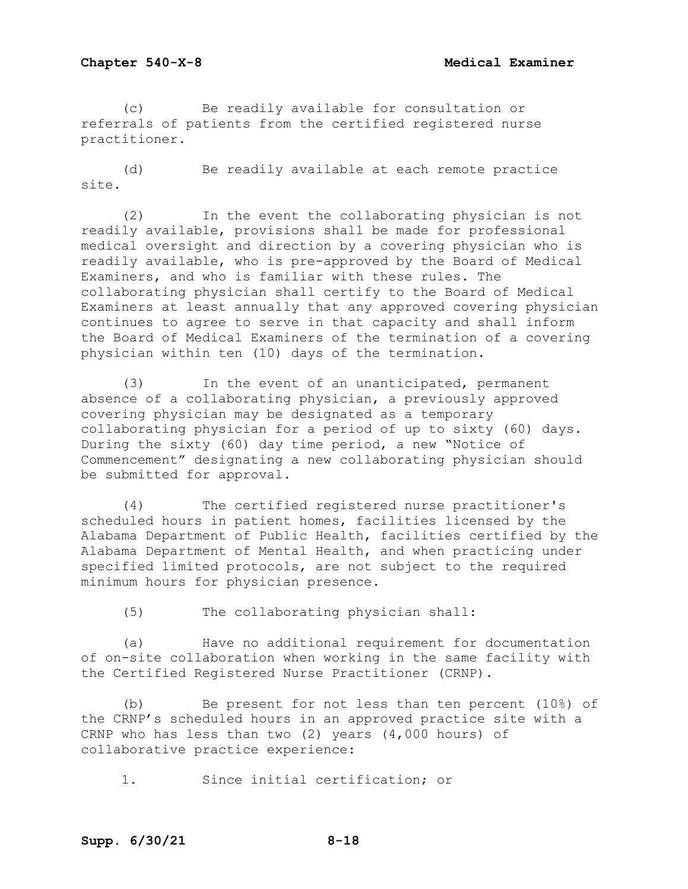(c) Be readily available for consultation or referrals of patients from the certified registered nurse practitioner.

(d) Be readily available at each remote practice site.

(2) In the event the collaborating physician is not readily available, provisions shall be made for professional medical oversight and direction by a covering physician who is readily available, who is pre-approved by the Board of Medical Examiners, and who is familiar with these rules. The collaborating physician shall certify to the Board of Medical Examiners at least annually that any approved covering physician continues to agree to serve in that capacity and shall inform the Board of Medical Examiners of the termination of a covering physician within ten (10) days of the termination.

(3) In the event of an unanticipated, permanent absence of a collaborating physician, a previously approved covering physician may be designated as a temporary collaborating physician for a period of up to sixty (60) days. During the sixty (60) day time period, a new "Notice of Commencement" designating a new collaborating physician should be submitted for approval.

(4) The certified registered nurse practitioner's scheduled hours in patient homes, facilities licensed by the Alabama Department of Public Health, facilities certified by the Alabama Department of Mental Health, and when practicing under specified limited protocols, are not subject to the required minimum hours for physician presence.

(5) The collaborating physician shall:

(a) Have no additional requirement for documentation of on-site collaboration when working in the same facility with the Certified Registered Nurse Practitioner (CRNP).

(b) Be present for not less than ten percent (10%) of the CRNP's scheduled hours in an approved practice site with a CRNP who has less than two (2) years (4,000 hours) of collaborative practice experience:

1. Since initial certification; or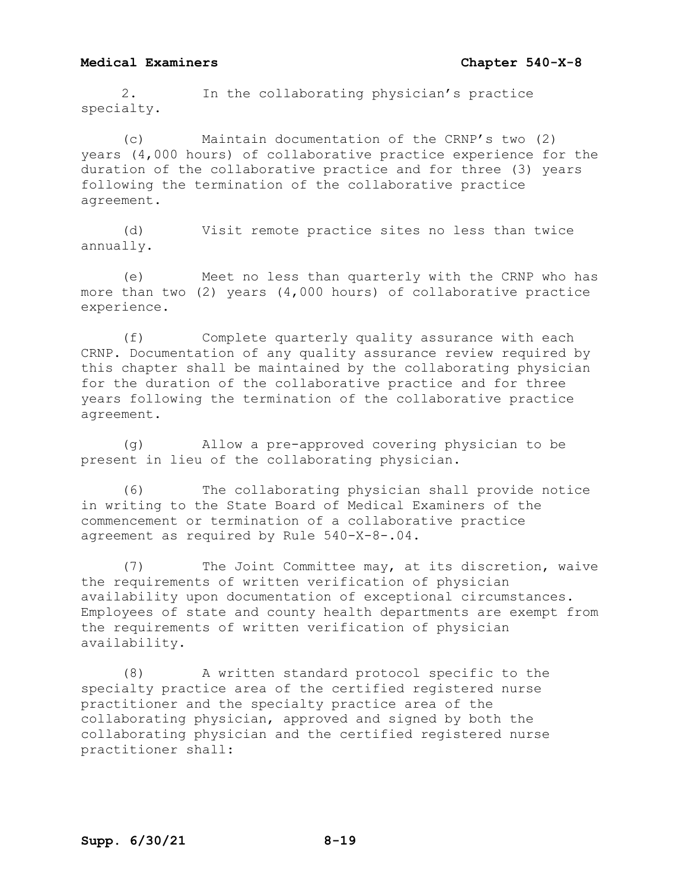2. In the collaborating physician's practice specialty.

(c) Maintain documentation of the CRNP's two (2) years (4,000 hours) of collaborative practice experience for the duration of the collaborative practice and for three (3) years following the termination of the collaborative practice agreement.

(d) Visit remote practice sites no less than twice annually.

(e) Meet no less than quarterly with the CRNP who has more than two (2) years (4,000 hours) of collaborative practice experience.

(f) Complete quarterly quality assurance with each CRNP. Documentation of any quality assurance review required by this chapter shall be maintained by the collaborating physician for the duration of the collaborative practice and for three years following the termination of the collaborative practice agreement.

(g) Allow a pre-approved covering physician to be present in lieu of the collaborating physician.

(6) The collaborating physician shall provide notice in writing to the State Board of Medical Examiners of the commencement or termination of a collaborative practice agreement as required by Rule 540-X-8-.04.

(7) The Joint Committee may, at its discretion, waive the requirements of written verification of physician availability upon documentation of exceptional circumstances. Employees of state and county health departments are exempt from the requirements of written verification of physician availability.

(8) A written standard protocol specific to the specialty practice area of the certified registered nurse practitioner and the specialty practice area of the collaborating physician, approved and signed by both the collaborating physician and the certified registered nurse practitioner shall: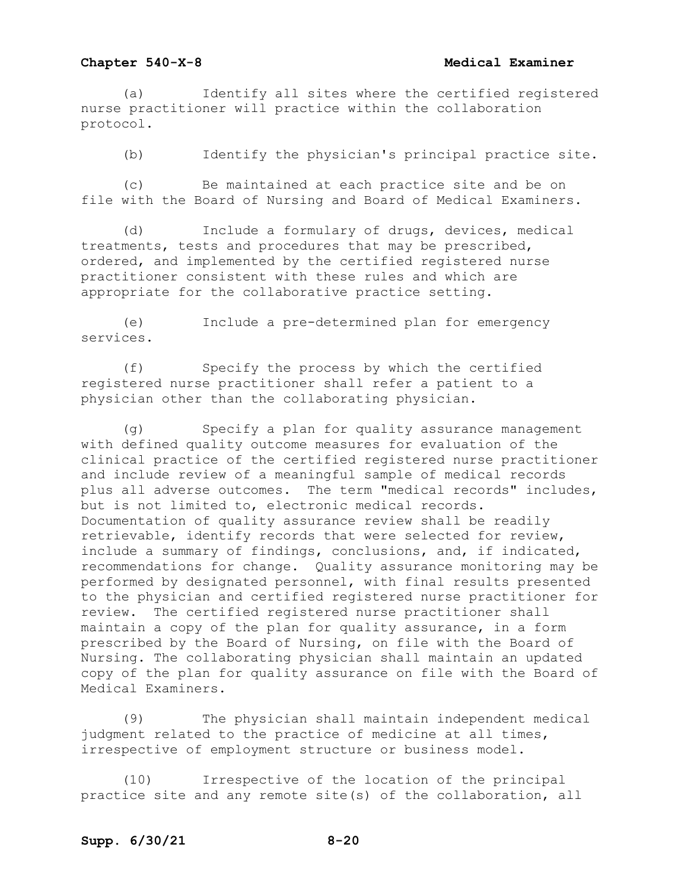### **Chapter 540-X-8 Medical Examiner**

(a) Identify all sites where the certified registered nurse practitioner will practice within the collaboration protocol.

(b) Identify the physician's principal practice site.

(c) Be maintained at each practice site and be on file with the Board of Nursing and Board of Medical Examiners.

(d) Include a formulary of drugs, devices, medical treatments, tests and procedures that may be prescribed, ordered, and implemented by the certified registered nurse practitioner consistent with these rules and which are appropriate for the collaborative practice setting.

(e) Include a pre-determined plan for emergency services.

(f) Specify the process by which the certified registered nurse practitioner shall refer a patient to a physician other than the collaborating physician.

(g) Specify a plan for quality assurance management with defined quality outcome measures for evaluation of the clinical practice of the certified registered nurse practitioner and include review of a meaningful sample of medical records plus all adverse outcomes. The term "medical records" includes, but is not limited to, electronic medical records. Documentation of quality assurance review shall be readily retrievable, identify records that were selected for review, include a summary of findings, conclusions, and, if indicated, recommendations for change. Quality assurance monitoring may be performed by designated personnel, with final results presented to the physician and certified registered nurse practitioner for review. The certified registered nurse practitioner shall maintain a copy of the plan for quality assurance, in a form prescribed by the Board of Nursing, on file with the Board of Nursing. The collaborating physician shall maintain an updated copy of the plan for quality assurance on file with the Board of Medical Examiners.

(9) The physician shall maintain independent medical judgment related to the practice of medicine at all times, irrespective of employment structure or business model.

(10) Irrespective of the location of the principal practice site and any remote site(s) of the collaboration, all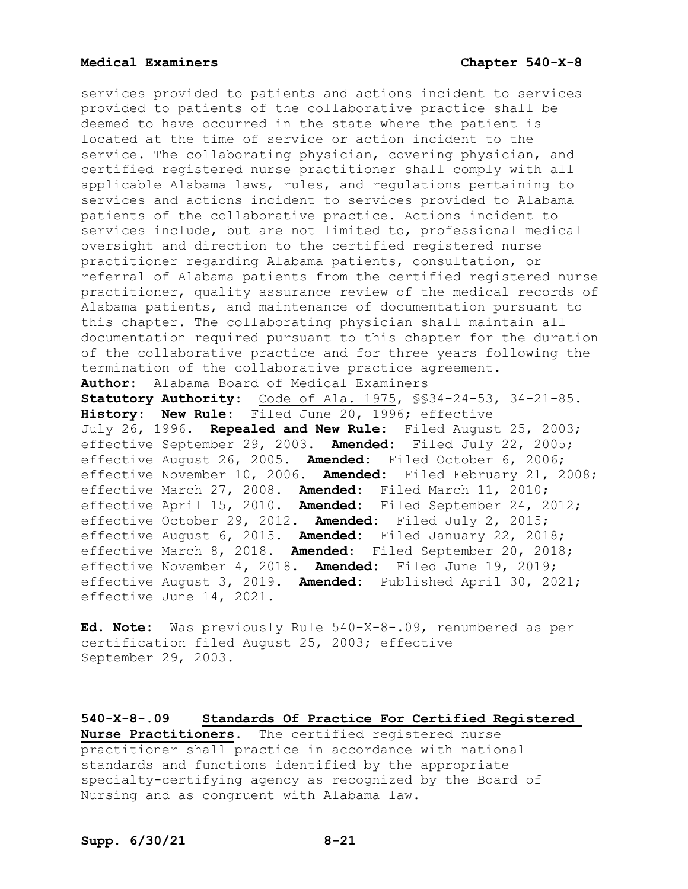services provided to patients and actions incident to services provided to patients of the collaborative practice shall be deemed to have occurred in the state where the patient is located at the time of service or action incident to the service. The collaborating physician, covering physician, and certified registered nurse practitioner shall comply with all applicable Alabama laws, rules, and regulations pertaining to services and actions incident to services provided to Alabama patients of the collaborative practice. Actions incident to services include, but are not limited to, professional medical oversight and direction to the certified registered nurse practitioner regarding Alabama patients, consultation, or referral of Alabama patients from the certified registered nurse practitioner, quality assurance review of the medical records of Alabama patients, and maintenance of documentation pursuant to this chapter. The collaborating physician shall maintain all documentation required pursuant to this chapter for the duration of the collaborative practice and for three years following the termination of the collaborative practice agreement. **Author:** Alabama Board of Medical Examiners **Statutory Authority**: Code of Ala. 1975, §§34-24-53, 34-21-85. **History: New Rule:** Filed June 20, 1996; effective July 26, 1996. **Repealed and New Rule:** Filed August 25, 2003; effective September 29, 2003. **Amended:** Filed July 22, 2005; effective August 26, 2005. **Amended:** Filed October 6, 2006; effective November 10, 2006. **Amended:** Filed February 21, 2008; effective March 27, 2008. **Amended:** Filed March 11, 2010; effective April 15, 2010. **Amended:** Filed September 24, 2012; effective October 29, 2012. **Amended:** Filed July 2, 2015; effective August 6, 2015. **Amended:** Filed January 22, 2018; effective March 8, 2018. **Amended:** Filed September 20, 2018; effective November 4, 2018. **Amended:** Filed June 19, 2019; effective August 3, 2019. **Amended:** Published April 30, 2021; effective June 14, 2021.

**Ed. Note:** Was previously Rule 540-X-8-.09, renumbered as per certification filed August 25, 2003; effective September 29, 2003.

**540-X-8-.09 Standards Of Practice For Certified Registered Nurse Practitioners.** The certified registered nurse practitioner shall practice in accordance with national standards and functions identified by the appropriate specialty-certifying agency as recognized by the Board of Nursing and as congruent with Alabama law.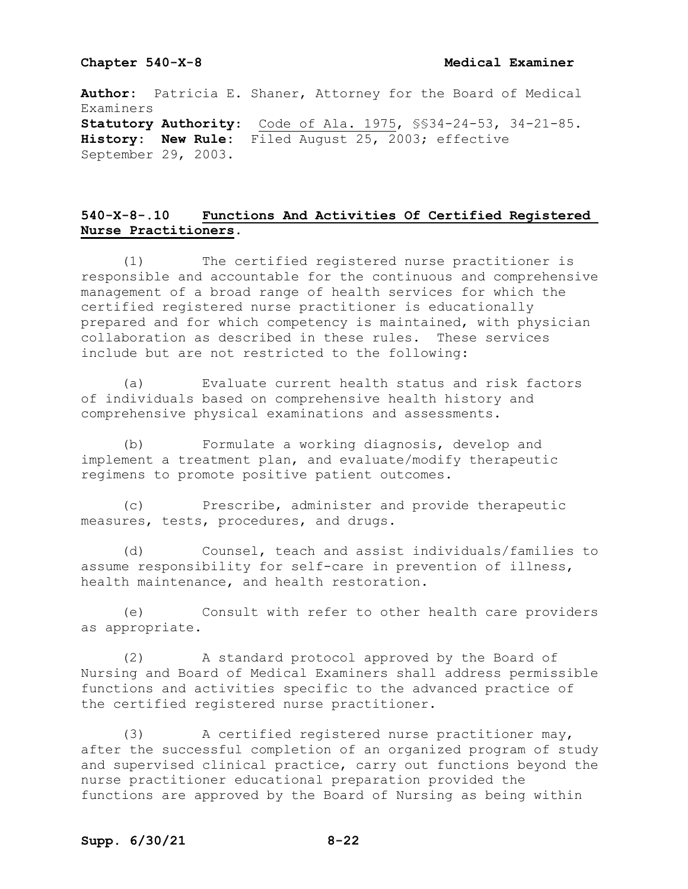**Author:** Patricia E. Shaner, Attorney for the Board of Medical Examiners **Statutory Authority**: Code of Ala. 1975, §§34-24-53, 34-21-85. **History: New Rule:** Filed August 25, 2003; effective September 29, 2003.

# **540-X-8-.10 Functions And Activities Of Certified Registered Nurse Practitioners.**

(1) The certified registered nurse practitioner is responsible and accountable for the continuous and comprehensive management of a broad range of health services for which the certified registered nurse practitioner is educationally prepared and for which competency is maintained, with physician collaboration as described in these rules. These services include but are not restricted to the following:

(a) Evaluate current health status and risk factors of individuals based on comprehensive health history and comprehensive physical examinations and assessments.

(b) Formulate a working diagnosis, develop and implement a treatment plan, and evaluate/modify therapeutic regimens to promote positive patient outcomes.

(c) Prescribe, administer and provide therapeutic measures, tests, procedures, and drugs.

(d) Counsel, teach and assist individuals/families to assume responsibility for self-care in prevention of illness, health maintenance, and health restoration.

(e) Consult with refer to other health care providers as appropriate.

(2) A standard protocol approved by the Board of Nursing and Board of Medical Examiners shall address permissible functions and activities specific to the advanced practice of the certified registered nurse practitioner.

(3) A certified registered nurse practitioner may, after the successful completion of an organized program of study and supervised clinical practice, carry out functions beyond the nurse practitioner educational preparation provided the functions are approved by the Board of Nursing as being within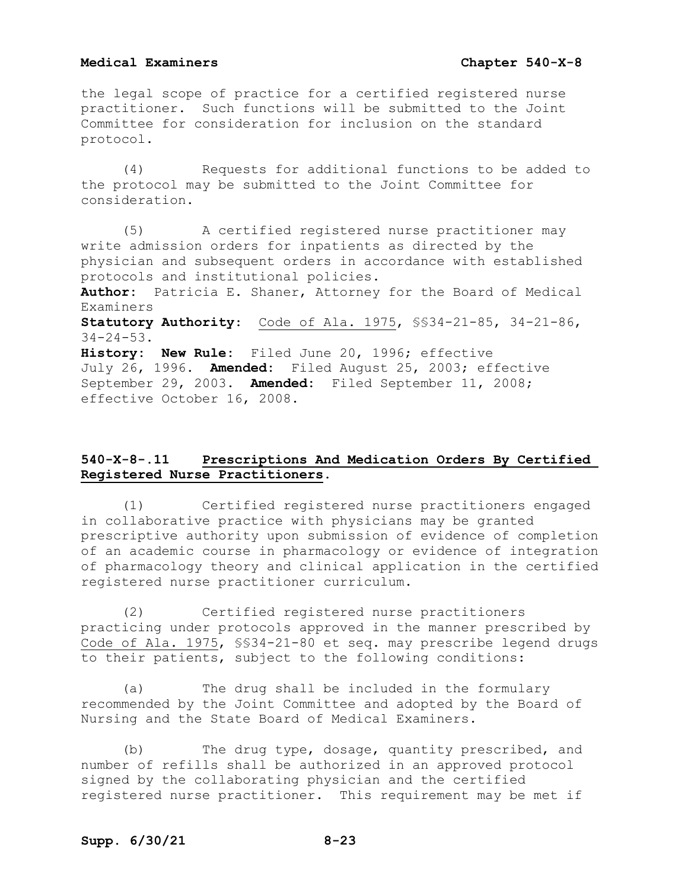the legal scope of practice for a certified registered nurse practitioner. Such functions will be submitted to the Joint Committee for consideration for inclusion on the standard protocol.

(4) Requests for additional functions to be added to the protocol may be submitted to the Joint Committee for consideration.

(5) A certified registered nurse practitioner may write admission orders for inpatients as directed by the physician and subsequent orders in accordance with established protocols and institutional policies.

**Author:** Patricia E. Shaner, Attorney for the Board of Medical Examiners

**Statutory Authority**: Code of Ala. 1975, §§34-21-85, 34-21-86,  $34 - 24 - 53$ .

**History: New Rule:** Filed June 20, 1996; effective July 26, 1996. **Amended:** Filed August 25, 2003; effective September 29, 2003. **Amended:** Filed September 11, 2008; effective October 16, 2008.

# **540-X-8-.11 Prescriptions And Medication Orders By Certified Registered Nurse Practitioners.**

(1) Certified registered nurse practitioners engaged in collaborative practice with physicians may be granted prescriptive authority upon submission of evidence of completion of an academic course in pharmacology or evidence of integration of pharmacology theory and clinical application in the certified registered nurse practitioner curriculum.

(2) Certified registered nurse practitioners practicing under protocols approved in the manner prescribed by Code of Ala. 1975, §§34-21-80 et seq. may prescribe legend drugs to their patients, subject to the following conditions:

(a) The drug shall be included in the formulary recommended by the Joint Committee and adopted by the Board of Nursing and the State Board of Medical Examiners.

(b) The drug type, dosage, quantity prescribed, and number of refills shall be authorized in an approved protocol signed by the collaborating physician and the certified registered nurse practitioner. This requirement may be met if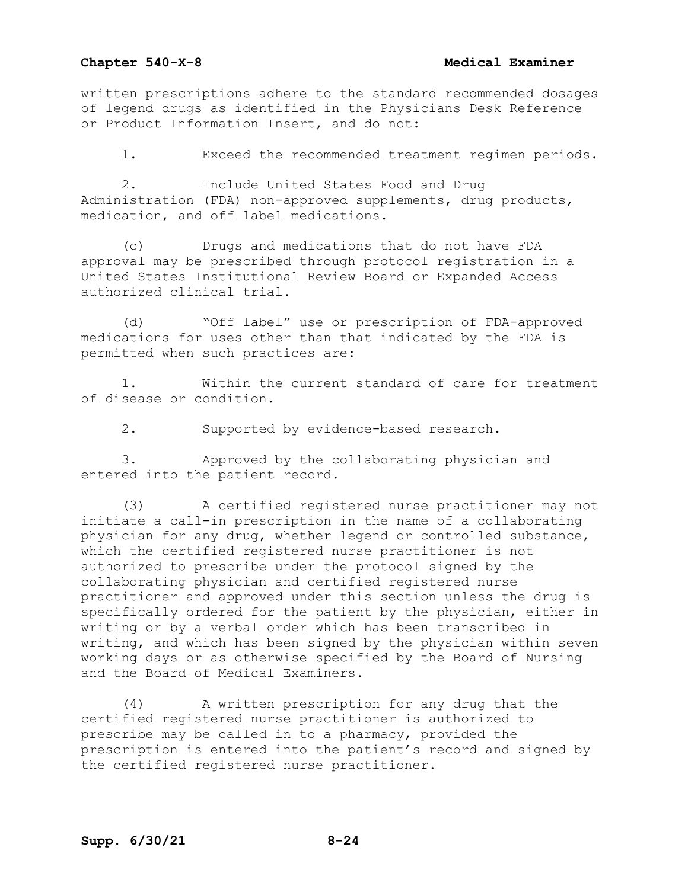## **Chapter 540-X-8 Medical Examiner**

written prescriptions adhere to the standard recommended dosages of legend drugs as identified in the Physicians Desk Reference or Product Information Insert, and do not:

1. Exceed the recommended treatment regimen periods.

2. Include United States Food and Drug Administration (FDA) non-approved supplements, drug products, medication, and off label medications.

(c) Drugs and medications that do not have FDA approval may be prescribed through protocol registration in a United States Institutional Review Board or Expanded Access authorized clinical trial.

(d) "Off label" use or prescription of FDA-approved medications for uses other than that indicated by the FDA is permitted when such practices are:

1. Within the current standard of care for treatment of disease or condition.

2. Supported by evidence-based research.

3. Approved by the collaborating physician and entered into the patient record.

(3) A certified registered nurse practitioner may not initiate a call-in prescription in the name of a collaborating physician for any drug, whether legend or controlled substance, which the certified registered nurse practitioner is not authorized to prescribe under the protocol signed by the collaborating physician and certified registered nurse practitioner and approved under this section unless the drug is specifically ordered for the patient by the physician, either in writing or by a verbal order which has been transcribed in writing, and which has been signed by the physician within seven working days or as otherwise specified by the Board of Nursing and the Board of Medical Examiners.

(4) A written prescription for any drug that the certified registered nurse practitioner is authorized to prescribe may be called in to a pharmacy, provided the prescription is entered into the patient's record and signed by the certified registered nurse practitioner.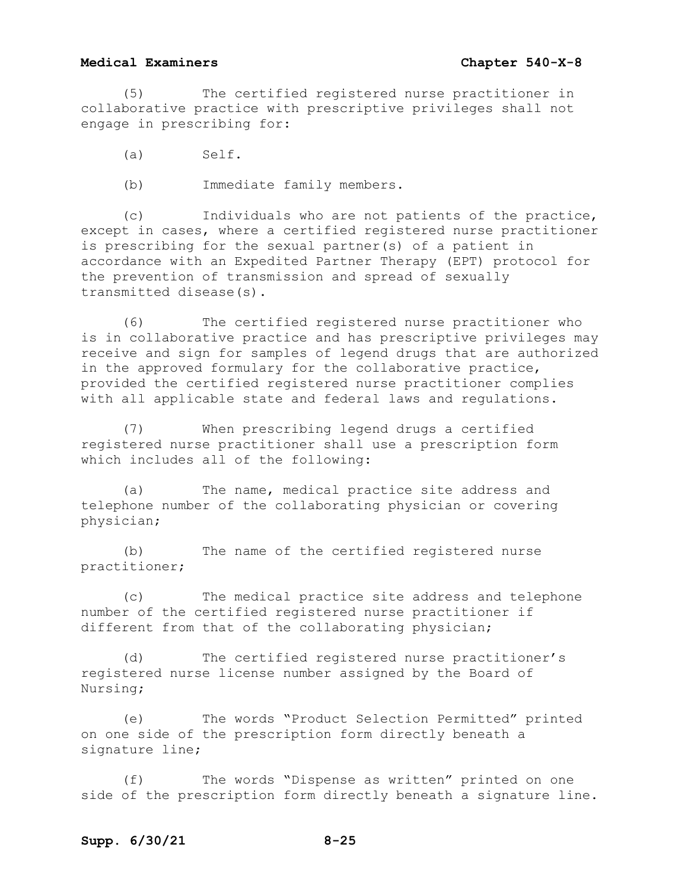(5) The certified registered nurse practitioner in collaborative practice with prescriptive privileges shall not engage in prescribing for:

- (a) Self.
- (b) Immediate family members.

(c) Individuals who are not patients of the practice, except in cases, where a certified registered nurse practitioner is prescribing for the sexual partner(s) of a patient in accordance with an Expedited Partner Therapy (EPT) protocol for the prevention of transmission and spread of sexually transmitted disease(s).

(6) The certified registered nurse practitioner who is in collaborative practice and has prescriptive privileges may receive and sign for samples of legend drugs that are authorized in the approved formulary for the collaborative practice, provided the certified registered nurse practitioner complies with all applicable state and federal laws and regulations.

(7) When prescribing legend drugs a certified registered nurse practitioner shall use a prescription form which includes all of the following:

(a) The name, medical practice site address and telephone number of the collaborating physician or covering physician;

(b) The name of the certified registered nurse practitioner;

(c) The medical practice site address and telephone number of the certified registered nurse practitioner if different from that of the collaborating physician;

(d) The certified registered nurse practitioner's registered nurse license number assigned by the Board of Nursing;

(e) The words "Product Selection Permitted" printed on one side of the prescription form directly beneath a signature line;

(f) The words "Dispense as written" printed on one side of the prescription form directly beneath a signature line.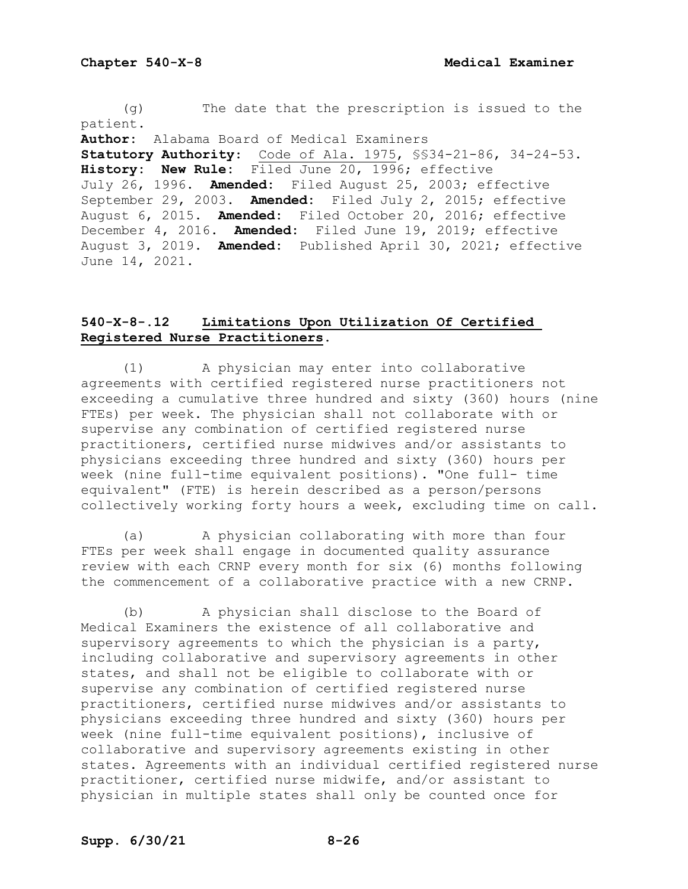(g) The date that the prescription is issued to the patient. **Author:** Alabama Board of Medical Examiners

**Statutory Authority**: Code of Ala. 1975, §§34-21-86, 34-24-53. **History: New Rule:** Filed June 20, 1996; effective July 26, 1996. **Amended:** Filed August 25, 2003; effective September 29, 2003. **Amended:** Filed July 2, 2015; effective August 6, 2015. **Amended:** Filed October 20, 2016; effective December 4, 2016. **Amended:** Filed June 19, 2019; effective August 3, 2019. **Amended:** Published April 30, 2021; effective June 14, 2021.

# **540-X-8-.12 Limitations Upon Utilization Of Certified Registered Nurse Practitioners.**

(1) A physician may enter into collaborative agreements with certified registered nurse practitioners not exceeding a cumulative three hundred and sixty (360) hours (nine FTEs) per week. The physician shall not collaborate with or supervise any combination of certified registered nurse practitioners, certified nurse midwives and/or assistants to physicians exceeding three hundred and sixty (360) hours per week (nine full-time equivalent positions). "One full- time equivalent" (FTE) is herein described as a person/persons collectively working forty hours a week, excluding time on call.

(a) A physician collaborating with more than four FTEs per week shall engage in documented quality assurance review with each CRNP every month for six (6) months following the commencement of a collaborative practice with a new CRNP.

(b) A physician shall disclose to the Board of Medical Examiners the existence of all collaborative and supervisory agreements to which the physician is a party, including collaborative and supervisory agreements in other states, and shall not be eligible to collaborate with or supervise any combination of certified registered nurse practitioners, certified nurse midwives and/or assistants to physicians exceeding three hundred and sixty (360) hours per week (nine full-time equivalent positions), inclusive of collaborative and supervisory agreements existing in other states. Agreements with an individual certified registered nurse practitioner, certified nurse midwife, and/or assistant to physician in multiple states shall only be counted once for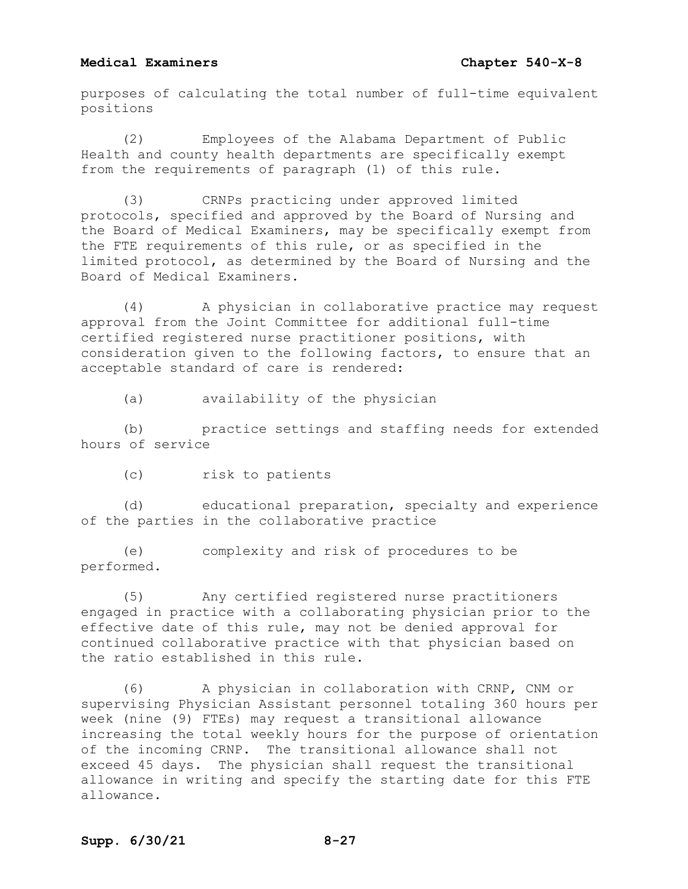purposes of calculating the total number of full-time equivalent positions

(2) Employees of the Alabama Department of Public Health and county health departments are specifically exempt from the requirements of paragraph (1) of this rule.

(3) CRNPs practicing under approved limited protocols, specified and approved by the Board of Nursing and the Board of Medical Examiners, may be specifically exempt from the FTE requirements of this rule, or as specified in the limited protocol, as determined by the Board of Nursing and the Board of Medical Examiners.

(4) A physician in collaborative practice may request approval from the Joint Committee for additional full-time certified registered nurse practitioner positions, with consideration given to the following factors, to ensure that an acceptable standard of care is rendered:

(a) availability of the physician

(b) practice settings and staffing needs for extended hours of service

(c) risk to patients

(d) educational preparation, specialty and experience of the parties in the collaborative practice

(e) complexity and risk of procedures to be performed.

(5) Any certified registered nurse practitioners engaged in practice with a collaborating physician prior to the effective date of this rule, may not be denied approval for continued collaborative practice with that physician based on the ratio established in this rule.

(6) A physician in collaboration with CRNP, CNM or supervising Physician Assistant personnel totaling 360 hours per week (nine (9) FTEs) may request a transitional allowance increasing the total weekly hours for the purpose of orientation of the incoming CRNP. The transitional allowance shall not exceed 45 days. The physician shall request the transitional allowance in writing and specify the starting date for this FTE allowance.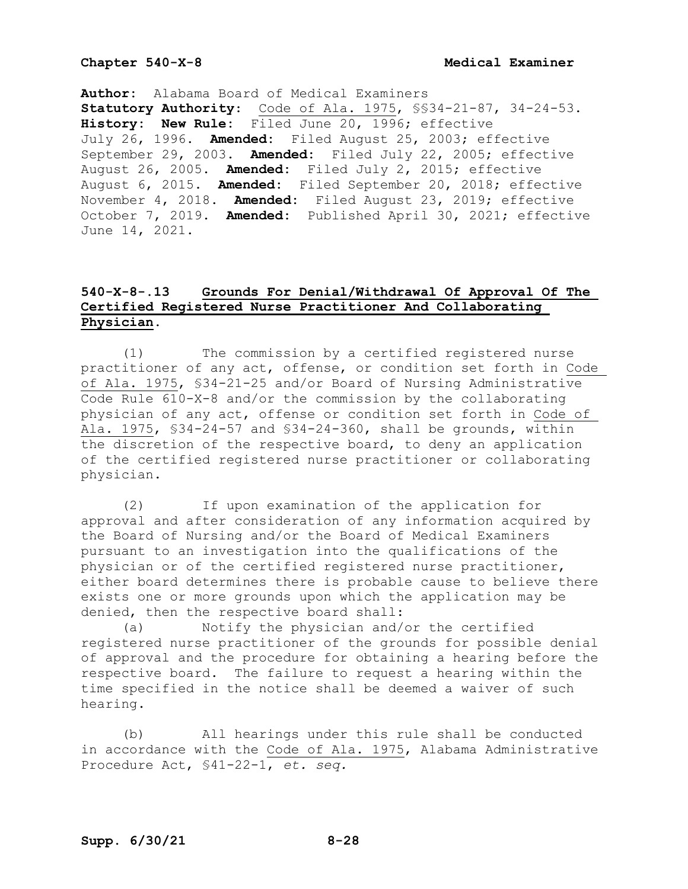**Author:** Alabama Board of Medical Examiners **Statutory Authority**: Code of Ala. 1975, §§34-21-87, 34-24-53. **History: New Rule:** Filed June 20, 1996; effective July 26, 1996. **Amended:** Filed August 25, 2003; effective September 29, 2003. **Amended:** Filed July 22, 2005; effective August 26, 2005. **Amended:** Filed July 2, 2015; effective August 6, 2015. **Amended:** Filed September 20, 2018; effective November 4, 2018. **Amended:** Filed August 23, 2019; effective October 7, 2019. **Amended:** Published April 30, 2021; effective June 14, 2021.

# **540-X-8-.13 Grounds For Denial/Withdrawal Of Approval Of The Certified Registered Nurse Practitioner And Collaborating Physician.**

(1) The commission by a certified registered nurse practitioner of any act, offense, or condition set forth in Code of Ala. 1975, §34-21-25 and/or Board of Nursing Administrative Code Rule 610-X-8 and/or the commission by the collaborating physician of any act, offense or condition set forth in Code of Ala. 1975, §34-24-57 and §34-24-360, shall be grounds, within the discretion of the respective board, to deny an application of the certified registered nurse practitioner or collaborating physician.

(2) If upon examination of the application for approval and after consideration of any information acquired by the Board of Nursing and/or the Board of Medical Examiners pursuant to an investigation into the qualifications of the physician or of the certified registered nurse practitioner, either board determines there is probable cause to believe there exists one or more grounds upon which the application may be denied, then the respective board shall:

(a) Notify the physician and/or the certified registered nurse practitioner of the grounds for possible denial of approval and the procedure for obtaining a hearing before the respective board. The failure to request a hearing within the time specified in the notice shall be deemed a waiver of such hearing.

(b) All hearings under this rule shall be conducted in accordance with the Code of Ala. 1975, Alabama Administrative Procedure Act, §41-22-1, *et. seq.*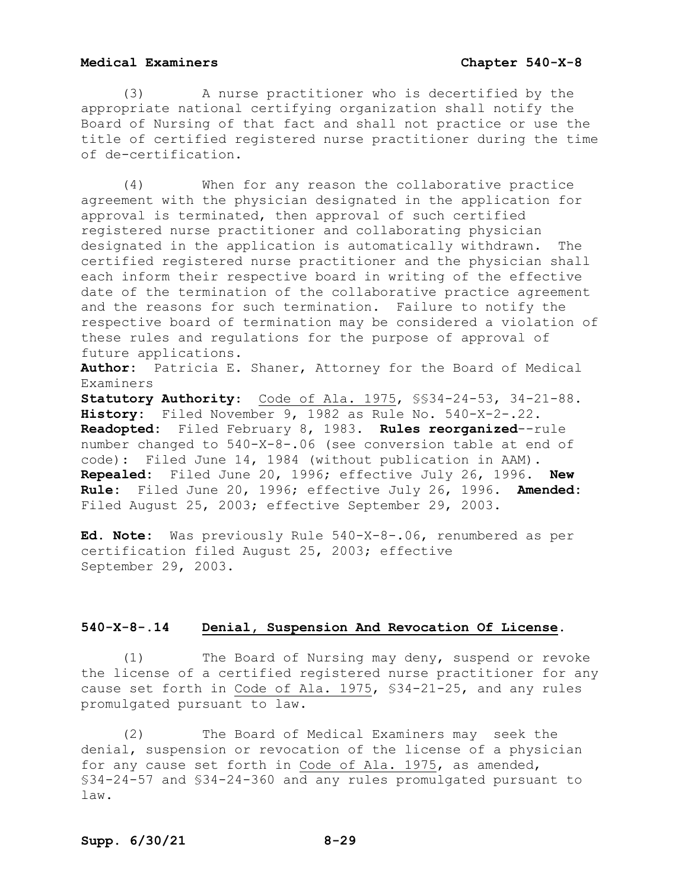(3) A nurse practitioner who is decertified by the appropriate national certifying organization shall notify the Board of Nursing of that fact and shall not practice or use the title of certified registered nurse practitioner during the time of de-certification.

(4) When for any reason the collaborative practice agreement with the physician designated in the application for approval is terminated, then approval of such certified registered nurse practitioner and collaborating physician designated in the application is automatically withdrawn. The certified registered nurse practitioner and the physician shall each inform their respective board in writing of the effective date of the termination of the collaborative practice agreement and the reasons for such termination. Failure to notify the respective board of termination may be considered a violation of these rules and regulations for the purpose of approval of future applications.

**Author:** Patricia E. Shaner, Attorney for the Board of Medical Examiners

**Statutory Authority**: Code of Ala. 1975, §§34-24-53, 34-21-88. **History:** Filed November 9, 1982 as Rule No. 540-X-2-.22. **Readopted:** Filed February 8, 1983. **Rules reorganized**--rule number changed to 540-X-8-.06 (see conversion table at end of code): Filed June 14, 1984 (without publication in AAM). **Repealed:** Filed June 20, 1996; effective July 26, 1996. **New Rule:** Filed June 20, 1996; effective July 26, 1996. **Amended:** Filed August 25, 2003; effective September 29, 2003.

**Ed. Note:** Was previously Rule 540-X-8-.06, renumbered as per certification filed August 25, 2003; effective September 29, 2003.

## **540-X-8-.14 Denial, Suspension And Revocation Of License.**

(1) The Board of Nursing may deny, suspend or revoke the license of a certified registered nurse practitioner for any cause set forth in Code of Ala. 1975, §34-21-25, and any rules promulgated pursuant to law.

(2) The Board of Medical Examiners may seek the denial, suspension or revocation of the license of a physician for any cause set forth in Code of Ala. 1975, as amended, §34-24-57 and §34-24-360 and any rules promulgated pursuant to law.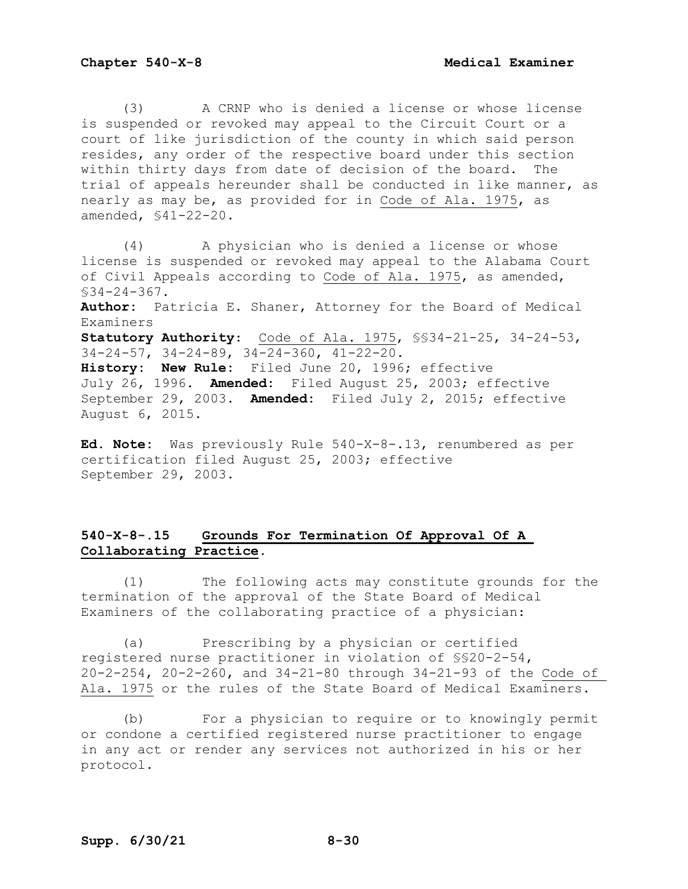(3) A CRNP who is denied a license or whose license is suspended or revoked may appeal to the Circuit Court or a court of like jurisdiction of the county in which said person resides, any order of the respective board under this section within thirty days from date of decision of the board. The trial of appeals hereunder shall be conducted in like manner, as nearly as may be, as provided for in Code of Ala. 1975, as amended, §41-22-20.

(4) A physician who is denied a license or whose license is suspended or revoked may appeal to the Alabama Court of Civil Appeals according to Code of Ala. 1975, as amended, §34-24-367.

**Author:** Patricia E. Shaner, Attorney for the Board of Medical Examiners

**Statutory Authority**: Code of Ala. 1975, §§34-21-25, 34-24-53, 34-24-57, 34-24-89, 34-24-360, 41-22-20.

**History: New Rule:** Filed June 20, 1996; effective July 26, 1996. **Amended:** Filed August 25, 2003; effective September 29, 2003. **Amended:** Filed July 2, 2015; effective August 6, 2015.

**Ed. Note:** Was previously Rule 540-X-8-.13, renumbered as per certification filed August 25, 2003; effective September 29, 2003.

# **540-X-8-.15 Grounds For Termination Of Approval Of A Collaborating Practice.**

(1) The following acts may constitute grounds for the termination of the approval of the State Board of Medical Examiners of the collaborating practice of a physician:

(a) Prescribing by a physician or certified registered nurse practitioner in violation of §§20-2-54, 20-2-254, 20-2-260, and 34-21-80 through 34-21-93 of the Code of Ala. 1975 or the rules of the State Board of Medical Examiners.

(b) For a physician to require or to knowingly permit or condone a certified registered nurse practitioner to engage in any act or render any services not authorized in his or her protocol.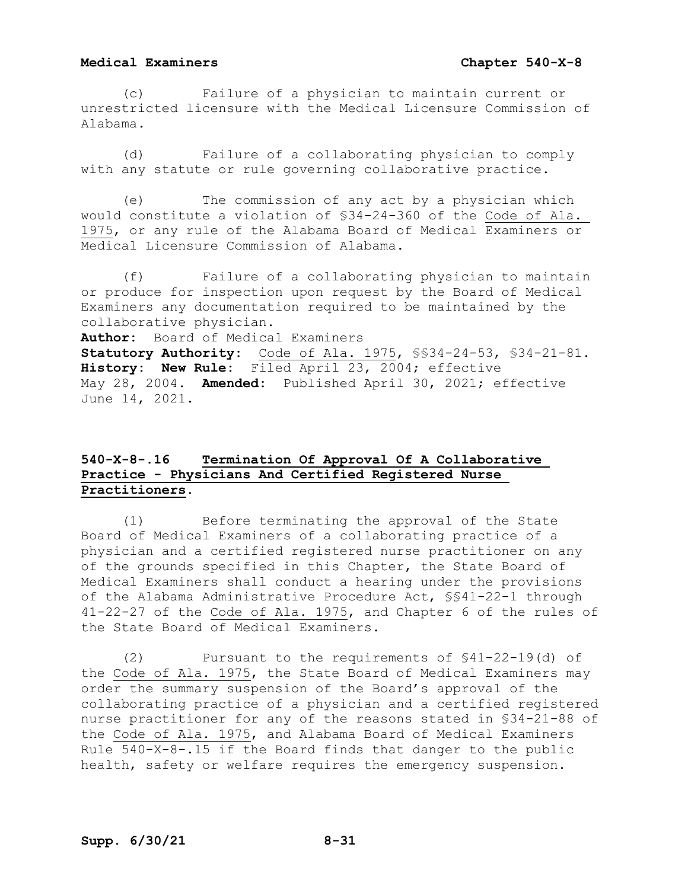(c) Failure of a physician to maintain current or unrestricted licensure with the Medical Licensure Commission of Alabama.

(d) Failure of a collaborating physician to comply with any statute or rule governing collaborative practice.

(e) The commission of any act by a physician which would constitute a violation of §34-24-360 of the Code of Ala. 1975, or any rule of the Alabama Board of Medical Examiners or Medical Licensure Commission of Alabama.

(f) Failure of a collaborating physician to maintain or produce for inspection upon request by the Board of Medical Examiners any documentation required to be maintained by the collaborative physician.

**Author:** Board of Medical Examiners

**Statutory Authority:** Code of Ala. 1975, §§34-24-53, §34-21-81. **History: New Rule:** Filed April 23, 2004; effective May 28, 2004. **Amended:** Published April 30, 2021; effective June 14, 2021.

# **540-X-8-.16 Termination Of Approval Of A Collaborative Practice - Physicians And Certified Registered Nurse Practitioners**.

(1) Before terminating the approval of the State Board of Medical Examiners of a collaborating practice of a physician and a certified registered nurse practitioner on any of the grounds specified in this Chapter, the State Board of Medical Examiners shall conduct a hearing under the provisions of the Alabama Administrative Procedure Act, §§41-22-1 through 41-22-27 of the Code of Ala. 1975, and Chapter 6 of the rules of the State Board of Medical Examiners.

(2) Pursuant to the requirements of §41-22-19(d) of the Code of Ala. 1975, the State Board of Medical Examiners may order the summary suspension of the Board's approval of the collaborating practice of a physician and a certified registered nurse practitioner for any of the reasons stated in §34-21-88 of the Code of Ala. 1975, and Alabama Board of Medical Examiners Rule 540-X-8-.15 if the Board finds that danger to the public health, safety or welfare requires the emergency suspension.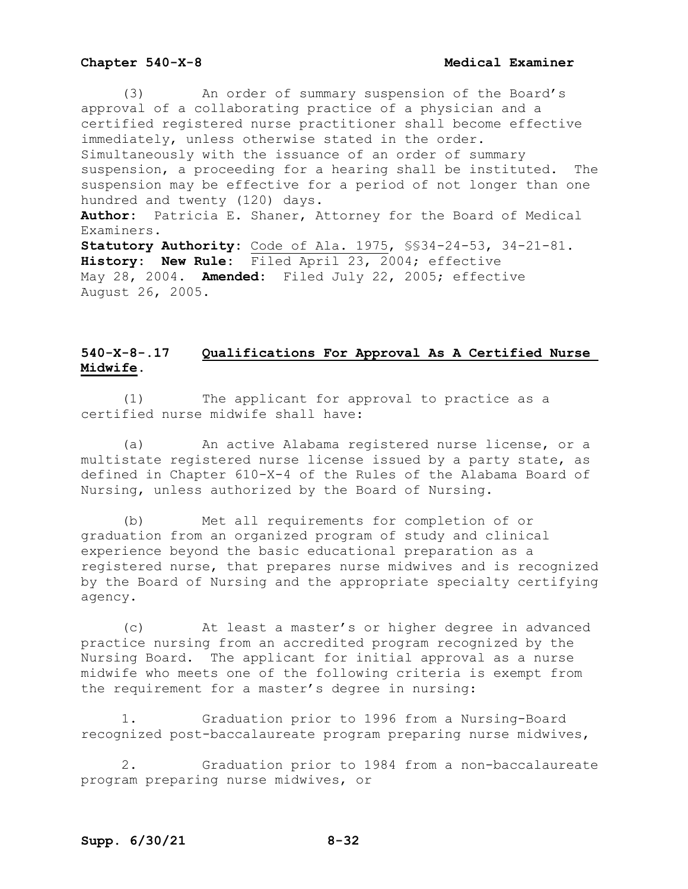(3) An order of summary suspension of the Board's approval of a collaborating practice of a physician and a certified registered nurse practitioner shall become effective immediately, unless otherwise stated in the order. Simultaneously with the issuance of an order of summary suspension, a proceeding for a hearing shall be instituted. The suspension may be effective for a period of not longer than one hundred and twenty (120) days. **Author:** Patricia E. Shaner, Attorney for the Board of Medical Examiners. **Statutory Authority:** Code of Ala. 1975, §§34-24-53, 34-21-81. **History: New Rule:** Filed April 23, 2004; effective May 28, 2004. **Amended:** Filed July 22, 2005; effective August 26, 2005.

# **540-X-8-.17 Qualifications For Approval As A Certified Nurse Midwife.**

(1) The applicant for approval to practice as a certified nurse midwife shall have:

(a) An active Alabama registered nurse license, or a multistate registered nurse license issued by a party state, as defined in Chapter 610-X-4 of the Rules of the Alabama Board of Nursing, unless authorized by the Board of Nursing.

(b) Met all requirements for completion of or graduation from an organized program of study and clinical experience beyond the basic educational preparation as a registered nurse, that prepares nurse midwives and is recognized by the Board of Nursing and the appropriate specialty certifying agency.

(c) At least a master's or higher degree in advanced practice nursing from an accredited program recognized by the Nursing Board. The applicant for initial approval as a nurse midwife who meets one of the following criteria is exempt from the requirement for a master's degree in nursing:

1. Graduation prior to 1996 from a Nursing-Board recognized post-baccalaureate program preparing nurse midwives,

2. Graduation prior to 1984 from a non-baccalaureate program preparing nurse midwives, or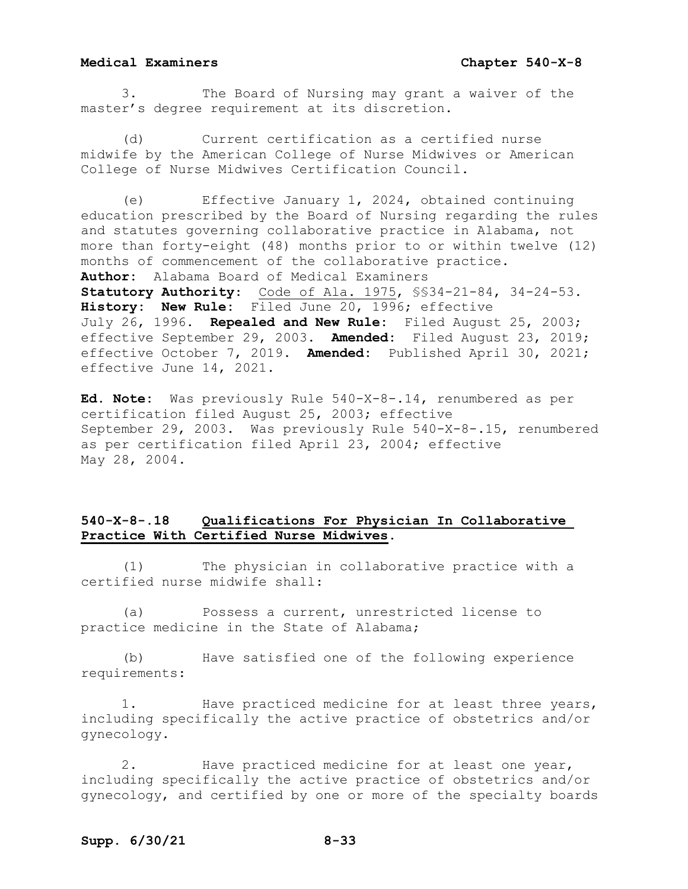3. The Board of Nursing may grant a waiver of the master's degree requirement at its discretion.

(d) Current certification as a certified nurse midwife by the American College of Nurse Midwives or American College of Nurse Midwives Certification Council.

(e) Effective January 1, 2024, obtained continuing education prescribed by the Board of Nursing regarding the rules and statutes governing collaborative practice in Alabama, not more than forty-eight (48) months prior to or within twelve (12) months of commencement of the collaborative practice. **Author:** Alabama Board of Medical Examiners **Statutory Authority**: Code of Ala. 1975, §§34-21-84, 34-24-53. **History: New Rule:** Filed June 20, 1996; effective July 26, 1996. **Repealed and New Rule:** Filed August 25, 2003; effective September 29, 2003. **Amended:** Filed August 23, 2019; effective October 7, 2019. **Amended:** Published April 30, 2021; effective June 14, 2021.

**Ed. Note:** Was previously Rule 540-X-8-.14, renumbered as per certification filed August 25, 2003; effective September 29, 2003. Was previously Rule 540-X-8-.15, renumbered as per certification filed April 23, 2004; effective May 28, 2004.

# **540-X-8-.18 Qualifications For Physician In Collaborative Practice With Certified Nurse Midwives.**

(1) The physician in collaborative practice with a certified nurse midwife shall:

(a) Possess a current, unrestricted license to practice medicine in the State of Alabama;

(b) Have satisfied one of the following experience requirements:

1. Have practiced medicine for at least three years, including specifically the active practice of obstetrics and/or gynecology.

2. Have practiced medicine for at least one year, including specifically the active practice of obstetrics and/or gynecology, and certified by one or more of the specialty boards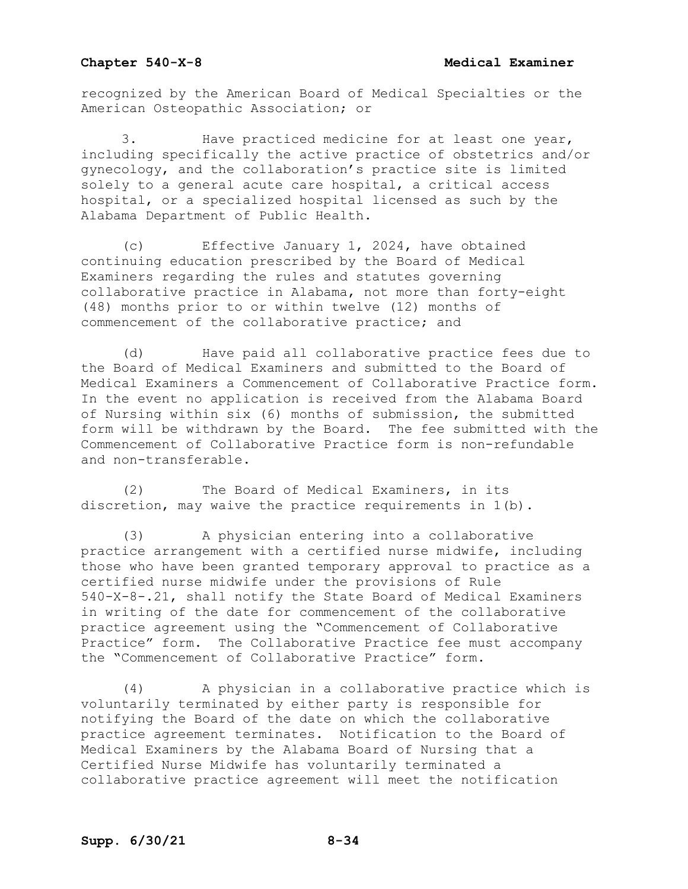recognized by the American Board of Medical Specialties or the American Osteopathic Association; or

Have practiced medicine for at least one year, including specifically the active practice of obstetrics and/or gynecology, and the collaboration's practice site is limited solely to a general acute care hospital, a critical access hospital, or a specialized hospital licensed as such by the Alabama Department of Public Health.

(c) Effective January 1, 2024, have obtained continuing education prescribed by the Board of Medical Examiners regarding the rules and statutes governing collaborative practice in Alabama, not more than forty-eight (48) months prior to or within twelve (12) months of commencement of the collaborative practice; and

(d) Have paid all collaborative practice fees due to the Board of Medical Examiners and submitted to the Board of Medical Examiners a Commencement of Collaborative Practice form. In the event no application is received from the Alabama Board of Nursing within six (6) months of submission, the submitted form will be withdrawn by the Board. The fee submitted with the Commencement of Collaborative Practice form is non-refundable and non-transferable.

(2) The Board of Medical Examiners, in its discretion, may waive the practice requirements in 1(b).

(3) A physician entering into a collaborative practice arrangement with a certified nurse midwife, including those who have been granted temporary approval to practice as a certified nurse midwife under the provisions of Rule 540-X-8-.21, shall notify the State Board of Medical Examiners in writing of the date for commencement of the collaborative practice agreement using the "Commencement of Collaborative Practice" form. The Collaborative Practice fee must accompany the "Commencement of Collaborative Practice" form.

(4) A physician in a collaborative practice which is voluntarily terminated by either party is responsible for notifying the Board of the date on which the collaborative practice agreement terminates. Notification to the Board of Medical Examiners by the Alabama Board of Nursing that a Certified Nurse Midwife has voluntarily terminated a collaborative practice agreement will meet the notification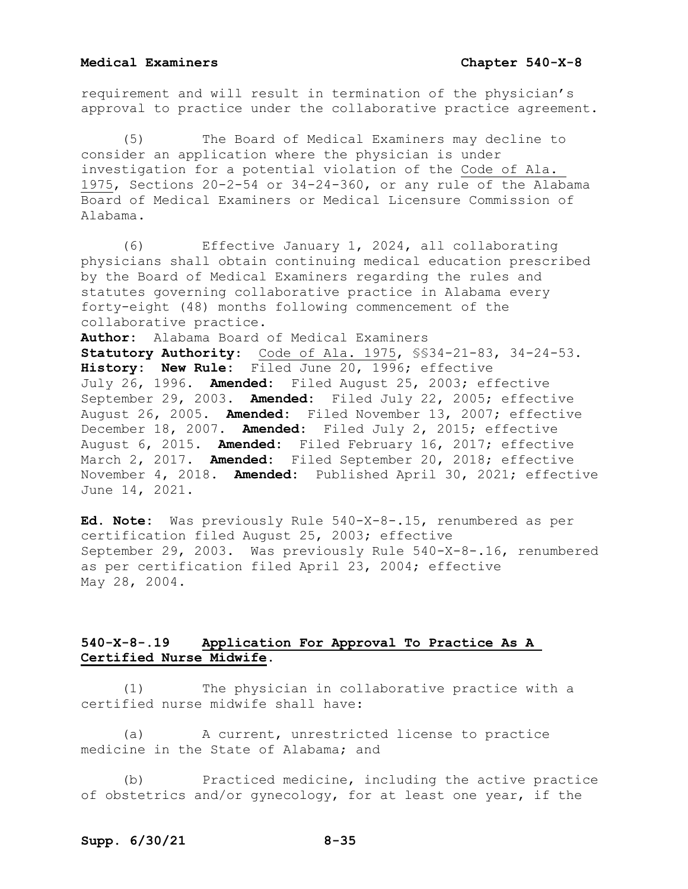requirement and will result in termination of the physician's approval to practice under the collaborative practice agreement.

The Board of Medical Examiners may decline to consider an application where the physician is under investigation for a potential violation of the Code of Ala. 1975, Sections 20-2-54 or 34-24-360, or any rule of the Alabama Board of Medical Examiners or Medical Licensure Commission of Alabama.

(6) Effective January 1, 2024, all collaborating physicians shall obtain continuing medical education prescribed by the Board of Medical Examiners regarding the rules and statutes governing collaborative practice in Alabama every forty-eight (48) months following commencement of the collaborative practice.

**Author:** Alabama Board of Medical Examiners **Statutory Authority**: Code of Ala. 1975, §§34-21-83, 34-24-53. **History: New Rule:** Filed June 20, 1996; effective July 26, 1996. **Amended:** Filed August 25, 2003; effective September 29, 2003. **Amended:** Filed July 22, 2005; effective August 26, 2005. **Amended:** Filed November 13, 2007; effective December 18, 2007. **Amended:** Filed July 2, 2015; effective August 6, 2015. **Amended:** Filed February 16, 2017; effective

March 2, 2017. **Amended:** Filed September 20, 2018; effective November 4, 2018. **Amended:** Published April 30, 2021; effective June 14, 2021.

**Ed. Note:** Was previously Rule 540-X-8-.15, renumbered as per certification filed August 25, 2003; effective September 29, 2003. Was previously Rule 540-X-8-.16, renumbered as per certification filed April 23, 2004; effective May 28, 2004.

# **540-X-8-.19 Application For Approval To Practice As A Certified Nurse Midwife.**

(1) The physician in collaborative practice with a certified nurse midwife shall have:

(a) A current, unrestricted license to practice medicine in the State of Alabama; and

(b) Practiced medicine, including the active practice of obstetrics and/or gynecology, for at least one year, if the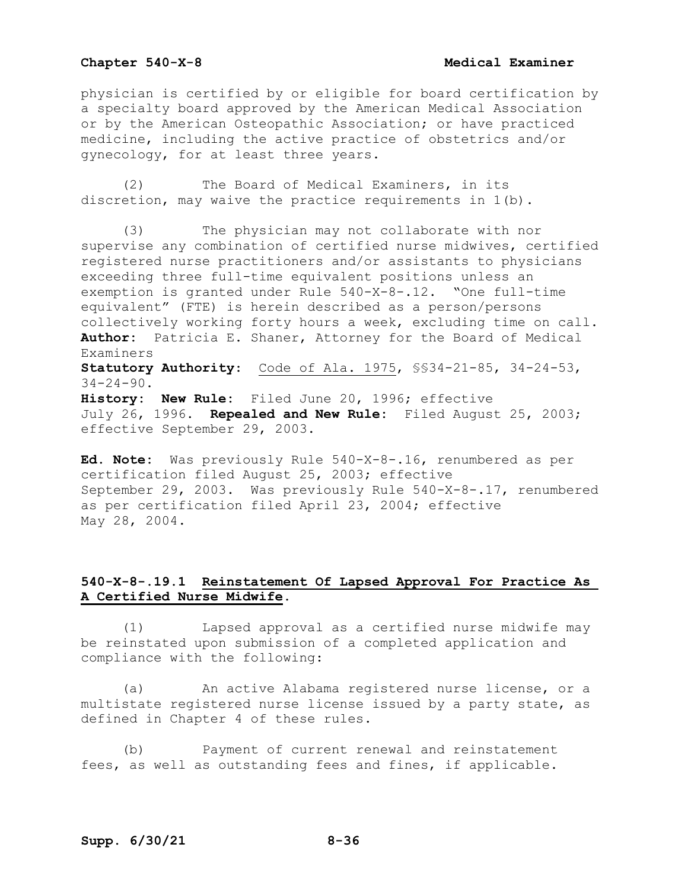### **Chapter 540-X-8** Medical Examiner

physician is certified by or eligible for board certification by a specialty board approved by the American Medical Association or by the American Osteopathic Association; or have practiced medicine, including the active practice of obstetrics and/or gynecology, for at least three years.

(2) The Board of Medical Examiners, in its discretion, may waive the practice requirements in 1(b).

(3) The physician may not collaborate with nor supervise any combination of certified nurse midwives, certified registered nurse practitioners and/or assistants to physicians exceeding three full-time equivalent positions unless an exemption is granted under Rule 540-X-8-.12. "One full-time equivalent" (FTE) is herein described as a person/persons collectively working forty hours a week, excluding time on call. **Author:** Patricia E. Shaner, Attorney for the Board of Medical Examiners **Statutory Authority**: Code of Ala. 1975, §§34-21-85, 34-24-53,  $34 - 24 - 90$ . **History: New Rule:** Filed June 20, 1996; effective July 26, 1996. **Repealed and New Rule:** Filed August 25, 2003; effective September 29, 2003.

**Ed. Note:** Was previously Rule 540-X-8-.16, renumbered as per certification filed August 25, 2003; effective September 29, 2003. Was previously Rule 540-X-8-.17, renumbered as per certification filed April 23, 2004; effective May 28, 2004.

# **540-X-8-.19.1 Reinstatement Of Lapsed Approval For Practice As A Certified Nurse Midwife.**

(1) Lapsed approval as a certified nurse midwife may be reinstated upon submission of a completed application and compliance with the following:

(a) An active Alabama registered nurse license, or a multistate registered nurse license issued by a party state, as defined in Chapter 4 of these rules.

(b) Payment of current renewal and reinstatement fees, as well as outstanding fees and fines, if applicable.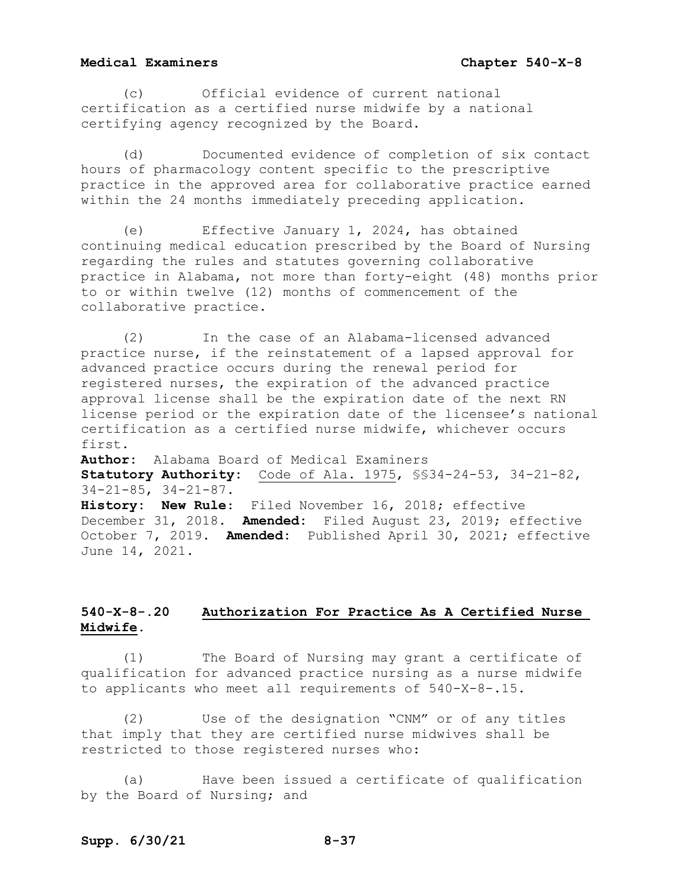(c) Official evidence of current national certification as a certified nurse midwife by a national certifying agency recognized by the Board.

(d) Documented evidence of completion of six contact hours of pharmacology content specific to the prescriptive practice in the approved area for collaborative practice earned within the 24 months immediately preceding application.

(e) Effective January 1, 2024, has obtained continuing medical education prescribed by the Board of Nursing regarding the rules and statutes governing collaborative practice in Alabama, not more than forty-eight (48) months prior to or within twelve (12) months of commencement of the collaborative practice.

(2) In the case of an Alabama-licensed advanced practice nurse, if the reinstatement of a lapsed approval for advanced practice occurs during the renewal period for registered nurses, the expiration of the advanced practice approval license shall be the expiration date of the next RN license period or the expiration date of the licensee's national certification as a certified nurse midwife, whichever occurs first.

**Author:** Alabama Board of Medical Examiners **Statutory Authority:** Code of Ala. 1975, §§34-24-53, 34-21-82, 34-21-85, 34-21-87. **History: New Rule**: Filed November 16, 2018; effective December 31, 2018. **Amended:** Filed August 23, 2019; effective October 7, 2019. **Amended:** Published April 30, 2021; effective June 14, 2021.

# **540-X-8-.20 Authorization For Practice As A Certified Nurse Midwife.**

(1) The Board of Nursing may grant a certificate of qualification for advanced practice nursing as a nurse midwife to applicants who meet all requirements of 540-X-8-.15.

(2) Use of the designation "CNM" or of any titles that imply that they are certified nurse midwives shall be restricted to those registered nurses who:

(a) Have been issued a certificate of qualification by the Board of Nursing; and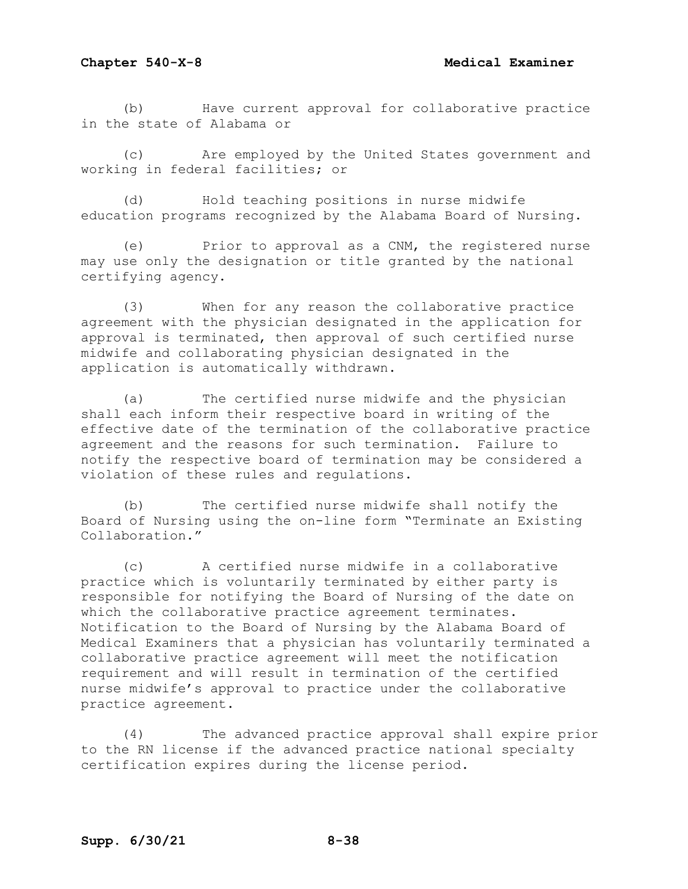(b) Have current approval for collaborative practice in the state of Alabama or

(c) Are employed by the United States government and working in federal facilities; or

(d) Hold teaching positions in nurse midwife education programs recognized by the Alabama Board of Nursing.

(e) Prior to approval as a CNM, the registered nurse may use only the designation or title granted by the national certifying agency.

(3) When for any reason the collaborative practice agreement with the physician designated in the application for approval is terminated, then approval of such certified nurse midwife and collaborating physician designated in the application is automatically withdrawn.

(a) The certified nurse midwife and the physician shall each inform their respective board in writing of the effective date of the termination of the collaborative practice agreement and the reasons for such termination. Failure to notify the respective board of termination may be considered a violation of these rules and regulations.

(b) The certified nurse midwife shall notify the Board of Nursing using the on-line form "Terminate an Existing Collaboration."

(c) A certified nurse midwife in a collaborative practice which is voluntarily terminated by either party is responsible for notifying the Board of Nursing of the date on which the collaborative practice agreement terminates. Notification to the Board of Nursing by the Alabama Board of Medical Examiners that a physician has voluntarily terminated a collaborative practice agreement will meet the notification requirement and will result in termination of the certified nurse midwife's approval to practice under the collaborative practice agreement.

(4) The advanced practice approval shall expire prior to the RN license if the advanced practice national specialty certification expires during the license period.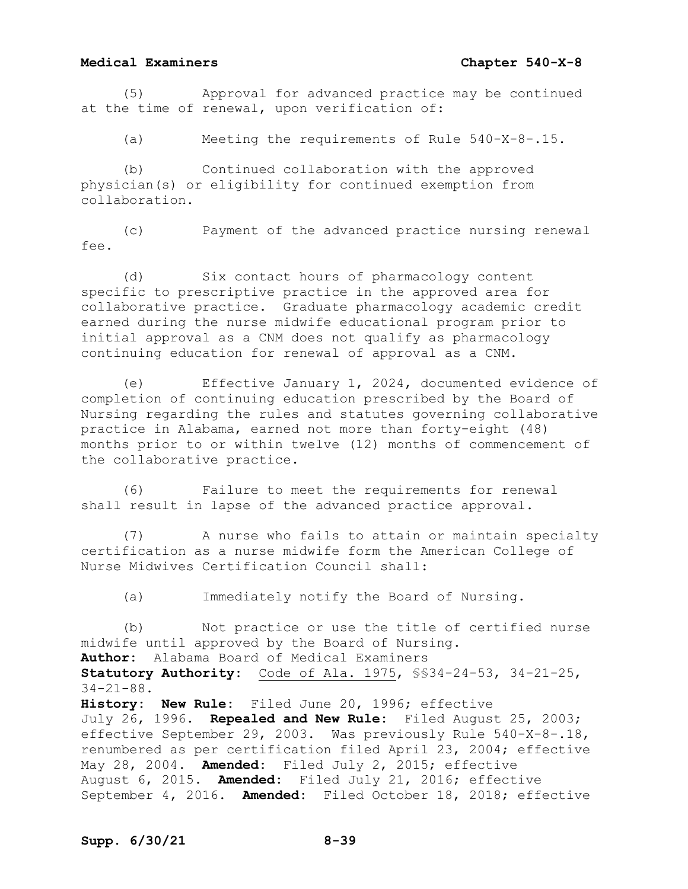(5) Approval for advanced practice may be continued at the time of renewal, upon verification of:

(a) Meeting the requirements of Rule 540-X-8-.15.

(b) Continued collaboration with the approved physician(s) or eligibility for continued exemption from collaboration.

(c) Payment of the advanced practice nursing renewal fee.

(d) Six contact hours of pharmacology content specific to prescriptive practice in the approved area for collaborative practice. Graduate pharmacology academic credit earned during the nurse midwife educational program prior to initial approval as a CNM does not qualify as pharmacology continuing education for renewal of approval as a CNM.

(e) Effective January 1, 2024, documented evidence of completion of continuing education prescribed by the Board of Nursing regarding the rules and statutes governing collaborative practice in Alabama, earned not more than forty-eight (48) months prior to or within twelve (12) months of commencement of the collaborative practice.

(6) Failure to meet the requirements for renewal shall result in lapse of the advanced practice approval.

(7) A nurse who fails to attain or maintain specialty certification as a nurse midwife form the American College of Nurse Midwives Certification Council shall:

(a) Immediately notify the Board of Nursing.

(b) Not practice or use the title of certified nurse midwife until approved by the Board of Nursing. **Author:** Alabama Board of Medical Examiners **Statutory Authority:** Code of Ala. 1975, §§34-24-53, 34-21-25, 34-21-88. **History: New Rule:** Filed June 20, 1996; effective July 26, 1996. **Repealed and New Rule:** Filed August 25, 2003; effective September 29, 2003. Was previously Rule 540-X-8-.18, renumbered as per certification filed April 23, 2004; effective May 28, 2004. **Amended:** Filed July 2, 2015; effective August 6, 2015. **Amended:** Filed July 21, 2016; effective September 4, 2016. **Amended:** Filed October 18, 2018; effective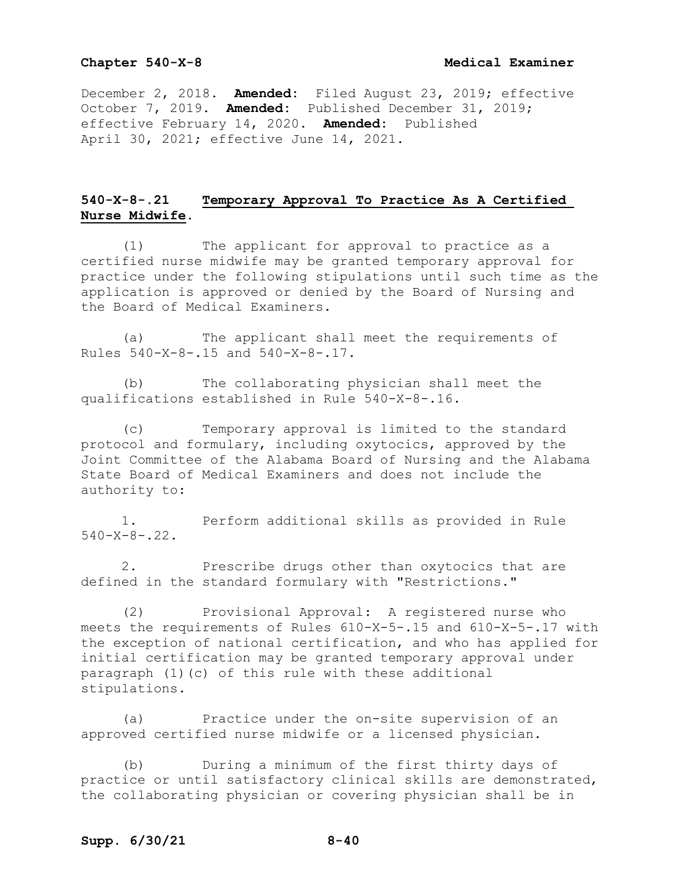December 2, 2018. **Amended:** Filed August 23, 2019; effective October 7, 2019. **Amended:** Published December 31, 2019; effective February 14, 2020. **Amended:** Published April 30, 2021; effective June 14, 2021.

# **540-X-8-.21 Temporary Approval To Practice As A Certified Nurse Midwife.**

(1) The applicant for approval to practice as a certified nurse midwife may be granted temporary approval for practice under the following stipulations until such time as the application is approved or denied by the Board of Nursing and the Board of Medical Examiners.

(a) The applicant shall meet the requirements of Rules 540-X-8-.15 and 540-X-8-.17.

(b) The collaborating physician shall meet the qualifications established in Rule 540-X-8-.16.

(c) Temporary approval is limited to the standard protocol and formulary, including oxytocics, approved by the Joint Committee of the Alabama Board of Nursing and the Alabama State Board of Medical Examiners and does not include the authority to:

1. Perform additional skills as provided in Rule  $540 - X - 8 - 22$ .

2. Prescribe drugs other than oxytocics that are defined in the standard formulary with "Restrictions."

(2) Provisional Approval: A registered nurse who meets the requirements of Rules 610-X-5-.15 and 610-X-5-.17 with the exception of national certification, and who has applied for initial certification may be granted temporary approval under paragraph (1)(c) of this rule with these additional stipulations.

(a) Practice under the on-site supervision of an approved certified nurse midwife or a licensed physician.

(b) During a minimum of the first thirty days of practice or until satisfactory clinical skills are demonstrated, the collaborating physician or covering physician shall be in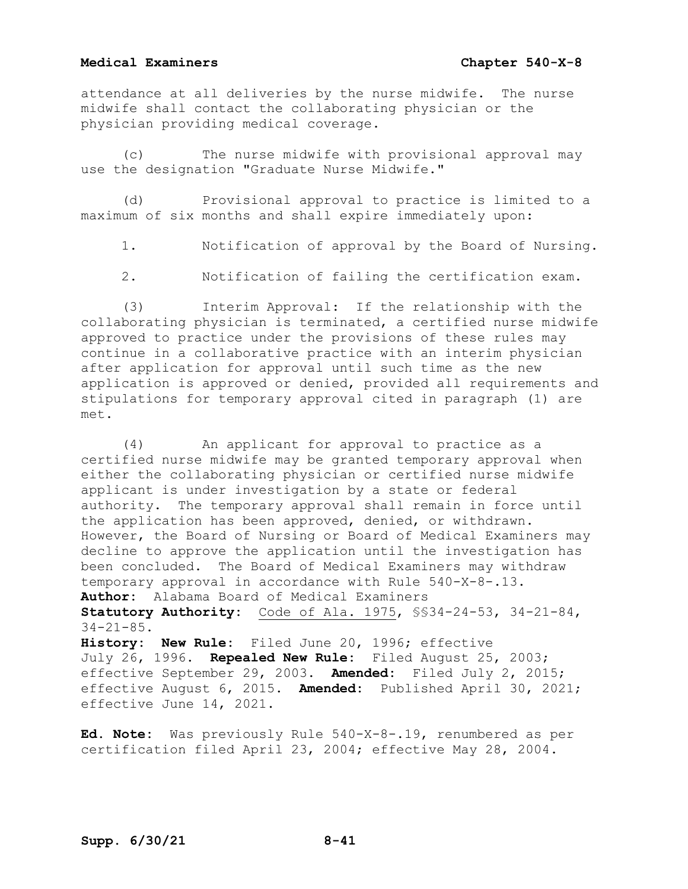attendance at all deliveries by the nurse midwife. The nurse midwife shall contact the collaborating physician or the physician providing medical coverage.

(c) The nurse midwife with provisional approval may use the designation "Graduate Nurse Midwife."

(d) Provisional approval to practice is limited to a maximum of six months and shall expire immediately upon:

1. Notification of approval by the Board of Nursing.

2. Notification of failing the certification exam.

(3) Interim Approval: If the relationship with the collaborating physician is terminated, a certified nurse midwife approved to practice under the provisions of these rules may continue in a collaborative practice with an interim physician after application for approval until such time as the new application is approved or denied, provided all requirements and stipulations for temporary approval cited in paragraph (1) are met.

(4) An applicant for approval to practice as a certified nurse midwife may be granted temporary approval when either the collaborating physician or certified nurse midwife applicant is under investigation by a state or federal authority. The temporary approval shall remain in force until the application has been approved, denied, or withdrawn. However, the Board of Nursing or Board of Medical Examiners may decline to approve the application until the investigation has been concluded. The Board of Medical Examiners may withdraw temporary approval in accordance with Rule 540-X-8-.13. **Author:** Alabama Board of Medical Examiners **Statutory Authority:** Code of Ala. 1975, §§34-24-53, 34-21-84, 34-21-85. **History: New Rule:** Filed June 20, 1996; effective July 26, 1996. **Repealed New Rule:** Filed August 25, 2003;

effective September 29, 2003. **Amended:** Filed July 2, 2015; effective August 6, 2015. **Amended:** Published April 30, 2021; effective June 14, 2021.

**Ed. Note:** Was previously Rule 540-X-8-.19, renumbered as per certification filed April 23, 2004; effective May 28, 2004.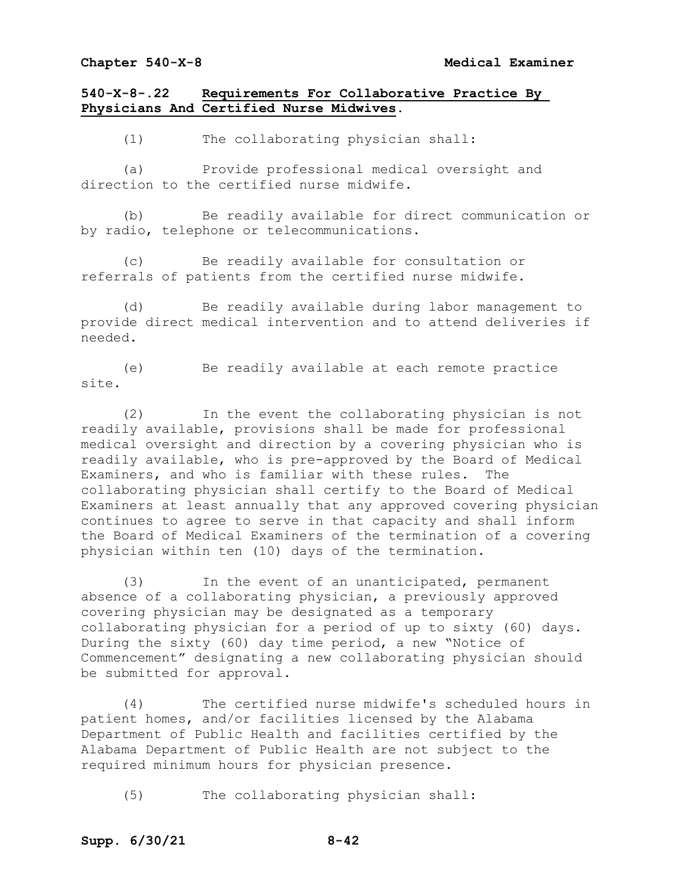# **540-X-8-.22 Requirements For Collaborative Practice By Physicians And Certified Nurse Midwives.**

(1) The collaborating physician shall:

(a) Provide professional medical oversight and direction to the certified nurse midwife.

(b) Be readily available for direct communication or by radio, telephone or telecommunications.

(c) Be readily available for consultation or referrals of patients from the certified nurse midwife.

(d) Be readily available during labor management to provide direct medical intervention and to attend deliveries if needed.

(e) Be readily available at each remote practice site.

(2) In the event the collaborating physician is not readily available, provisions shall be made for professional medical oversight and direction by a covering physician who is readily available, who is pre-approved by the Board of Medical<br>Examiners, and who is familiar with these rules. The Examiners, and who is familiar with these rules. collaborating physician shall certify to the Board of Medical Examiners at least annually that any approved covering physician continues to agree to serve in that capacity and shall inform the Board of Medical Examiners of the termination of a covering physician within ten (10) days of the termination.

(3) In the event of an unanticipated, permanent absence of a collaborating physician, a previously approved covering physician may be designated as a temporary collaborating physician for a period of up to sixty (60) days. During the sixty (60) day time period, a new "Notice of Commencement" designating a new collaborating physician should be submitted for approval.

(4) The certified nurse midwife's scheduled hours in patient homes, and/or facilities licensed by the Alabama Department of Public Health and facilities certified by the Alabama Department of Public Health are not subject to the required minimum hours for physician presence.

(5) The collaborating physician shall: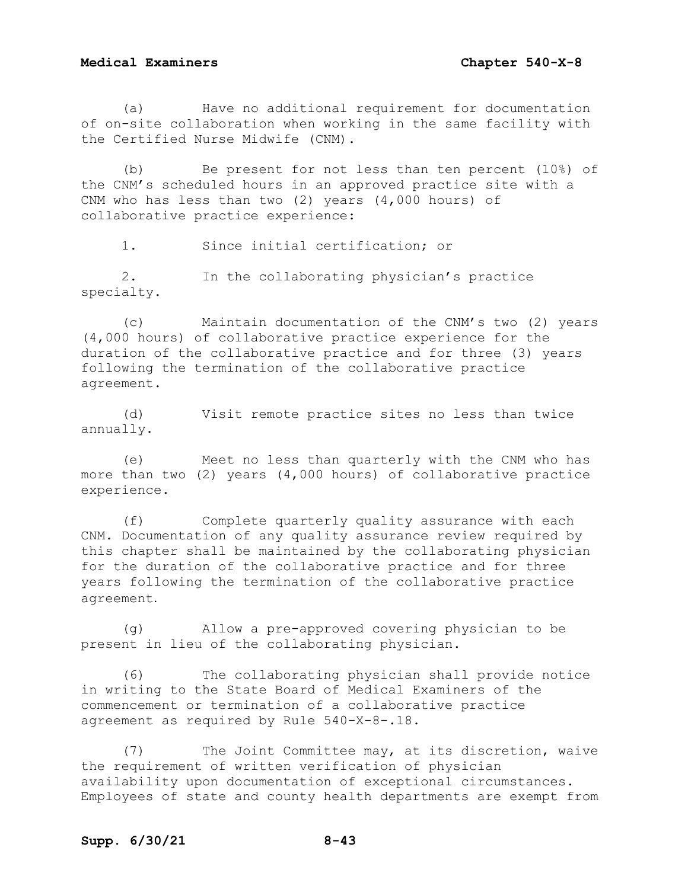(a) Have no additional requirement for documentation of on-site collaboration when working in the same facility with the Certified Nurse Midwife (CNM).

(b) Be present for not less than ten percent (10%) of the CNM's scheduled hours in an approved practice site with a CNM who has less than two (2) years (4,000 hours) of collaborative practice experience:

1. Since initial certification; or

2. In the collaborating physician's practice specialty.

(c) Maintain documentation of the CNM's two (2) years (4,000 hours) of collaborative practice experience for the duration of the collaborative practice and for three (3) years following the termination of the collaborative practice agreement.

(d) Visit remote practice sites no less than twice annually.

(e) Meet no less than quarterly with the CNM who has more than two (2) years (4,000 hours) of collaborative practice experience.

(f) Complete quarterly quality assurance with each CNM. Documentation of any quality assurance review required by this chapter shall be maintained by the collaborating physician for the duration of the collaborative practice and for three years following the termination of the collaborative practice agreement.

(g) Allow a pre-approved covering physician to be present in lieu of the collaborating physician.

(6) The collaborating physician shall provide notice in writing to the State Board of Medical Examiners of the commencement or termination of a collaborative practice agreement as required by Rule 540-X-8-.18.

(7) The Joint Committee may, at its discretion, waive the requirement of written verification of physician availability upon documentation of exceptional circumstances. Employees of state and county health departments are exempt from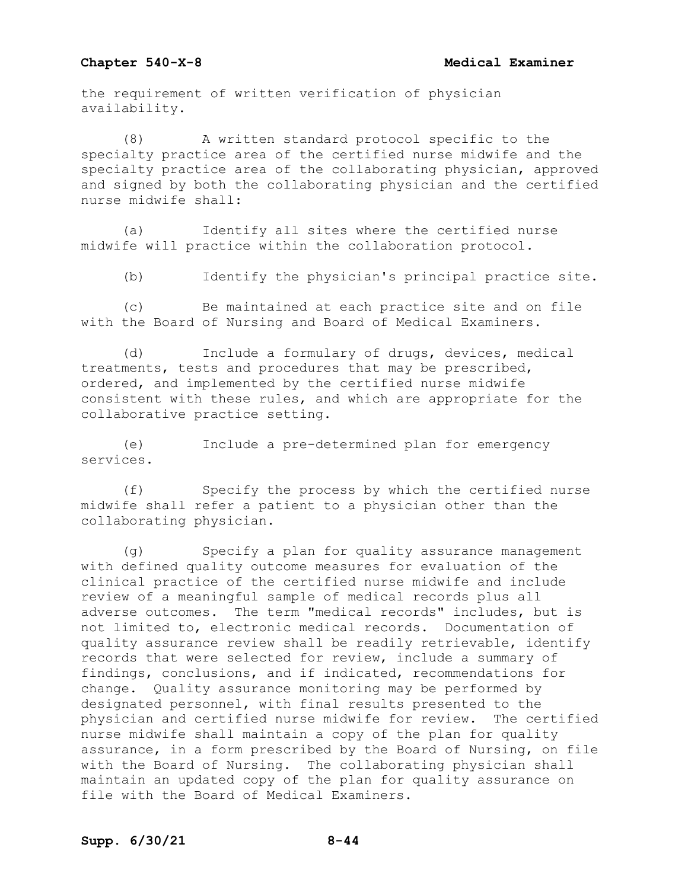the requirement of written verification of physician availability.

(8) A written standard protocol specific to the specialty practice area of the certified nurse midwife and the specialty practice area of the collaborating physician, approved and signed by both the collaborating physician and the certified nurse midwife shall:

(a) Identify all sites where the certified nurse midwife will practice within the collaboration protocol.

(b) Identify the physician's principal practice site.

(c) Be maintained at each practice site and on file with the Board of Nursing and Board of Medical Examiners.

(d) Include a formulary of drugs, devices, medical treatments, tests and procedures that may be prescribed, ordered, and implemented by the certified nurse midwife consistent with these rules, and which are appropriate for the collaborative practice setting.

(e) Include a pre-determined plan for emergency services.

(f) Specify the process by which the certified nurse midwife shall refer a patient to a physician other than the collaborating physician.

(g) Specify a plan for quality assurance management with defined quality outcome measures for evaluation of the clinical practice of the certified nurse midwife and include review of a meaningful sample of medical records plus all adverse outcomes. The term "medical records" includes, but is not limited to, electronic medical records. Documentation of quality assurance review shall be readily retrievable, identify records that were selected for review, include a summary of findings, conclusions, and if indicated, recommendations for change. Quality assurance monitoring may be performed by designated personnel, with final results presented to the physician and certified nurse midwife for review. The certified nurse midwife shall maintain a copy of the plan for quality assurance, in a form prescribed by the Board of Nursing, on file with the Board of Nursing. The collaborating physician shall maintain an updated copy of the plan for quality assurance on file with the Board of Medical Examiners.

# **Supp. 6/30/21 8-44**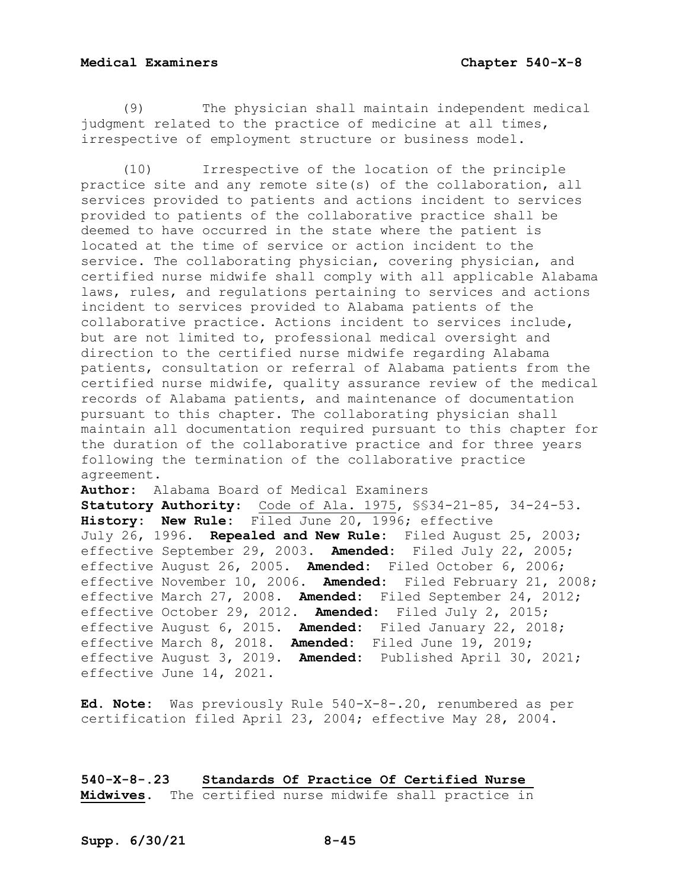(9) The physician shall maintain independent medical judgment related to the practice of medicine at all times, irrespective of employment structure or business model.

(10) Irrespective of the location of the principle practice site and any remote site(s) of the collaboration, all services provided to patients and actions incident to services provided to patients of the collaborative practice shall be deemed to have occurred in the state where the patient is located at the time of service or action incident to the service. The collaborating physician, covering physician, and certified nurse midwife shall comply with all applicable Alabama laws, rules, and regulations pertaining to services and actions incident to services provided to Alabama patients of the collaborative practice. Actions incident to services include, but are not limited to, professional medical oversight and direction to the certified nurse midwife regarding Alabama patients, consultation or referral of Alabama patients from the certified nurse midwife, quality assurance review of the medical records of Alabama patients, and maintenance of documentation pursuant to this chapter. The collaborating physician shall maintain all documentation required pursuant to this chapter for the duration of the collaborative practice and for three years following the termination of the collaborative practice agreement.

**Author:** Alabama Board of Medical Examiners **Statutory Authority**: Code of Ala. 1975, §§34-21-85, 34-24-53. **History: New Rule:** Filed June 20, 1996; effective July 26, 1996. **Repealed and New Rule:** Filed August 25, 2003; effective September 29, 2003. **Amended:** Filed July 22, 2005; effective August 26, 2005. **Amended:** Filed October 6, 2006; effective November 10, 2006. **Amended:** Filed February 21, 2008; effective March 27, 2008. **Amended:** Filed September 24, 2012; effective October 29, 2012. **Amended:** Filed July 2, 2015; effective August 6, 2015. **Amended:** Filed January 22, 2018; effective March 8, 2018. **Amended:** Filed June 19, 2019; effective August 3, 2019. **Amended:** Published April 30, 2021; effective June 14, 2021.

**Ed. Note:** Was previously Rule 540-X-8-.20, renumbered as per certification filed April 23, 2004; effective May 28, 2004.

**540-X-8-.23 Standards Of Practice Of Certified Nurse Midwives.** The certified nurse midwife shall practice in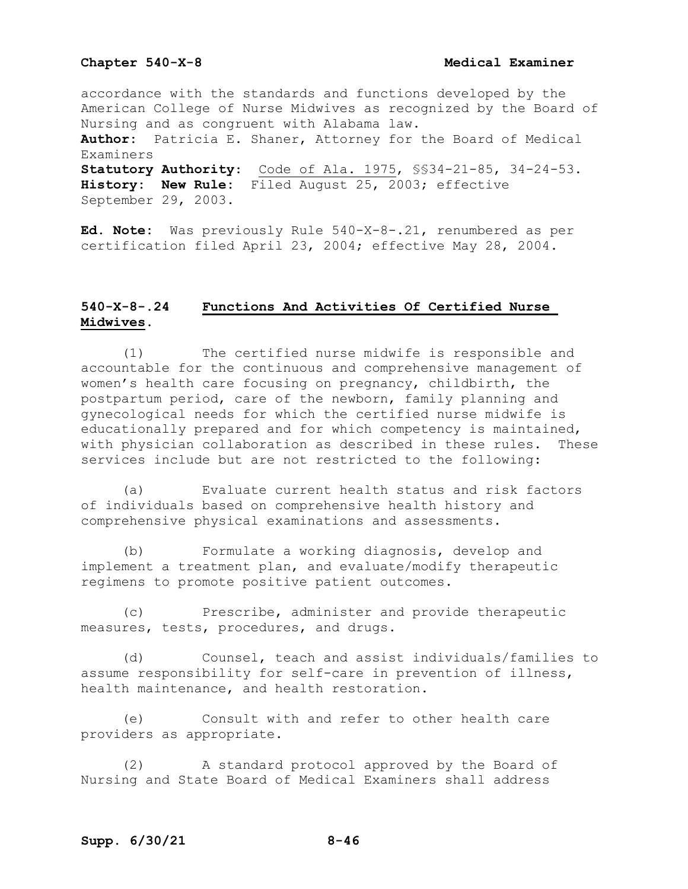accordance with the standards and functions developed by the American College of Nurse Midwives as recognized by the Board of Nursing and as congruent with Alabama law.<br>**Author:** Patricia E. Shaner, Attorney for Patricia E. Shaner, Attorney for the Board of Medical Examiners **Statutory Authority**: Code of Ala. 1975, §§34-21-85, 34-24-53. **History: New Rule:** Filed August 25, 2003; effective

September 29, 2003.

**Ed. Note:** Was previously Rule 540-X-8-.21, renumbered as per certification filed April 23, 2004; effective May 28, 2004.

# **540-X-8-.24 Functions And Activities Of Certified Nurse Midwives.**

(1) The certified nurse midwife is responsible and accountable for the continuous and comprehensive management of women's health care focusing on pregnancy, childbirth, the postpartum period, care of the newborn, family planning and gynecological needs for which the certified nurse midwife is educationally prepared and for which competency is maintained,<br>with physician collaboration as described in these rules. These with physician collaboration as described in these rules. services include but are not restricted to the following:

(a) Evaluate current health status and risk factors of individuals based on comprehensive health history and comprehensive physical examinations and assessments.

(b) Formulate a working diagnosis, develop and implement a treatment plan, and evaluate/modify therapeutic regimens to promote positive patient outcomes.

(c) Prescribe, administer and provide therapeutic measures, tests, procedures, and drugs.

(d) Counsel, teach and assist individuals/families to assume responsibility for self-care in prevention of illness, health maintenance, and health restoration.

(e) Consult with and refer to other health care providers as appropriate.

(2) A standard protocol approved by the Board of Nursing and State Board of Medical Examiners shall address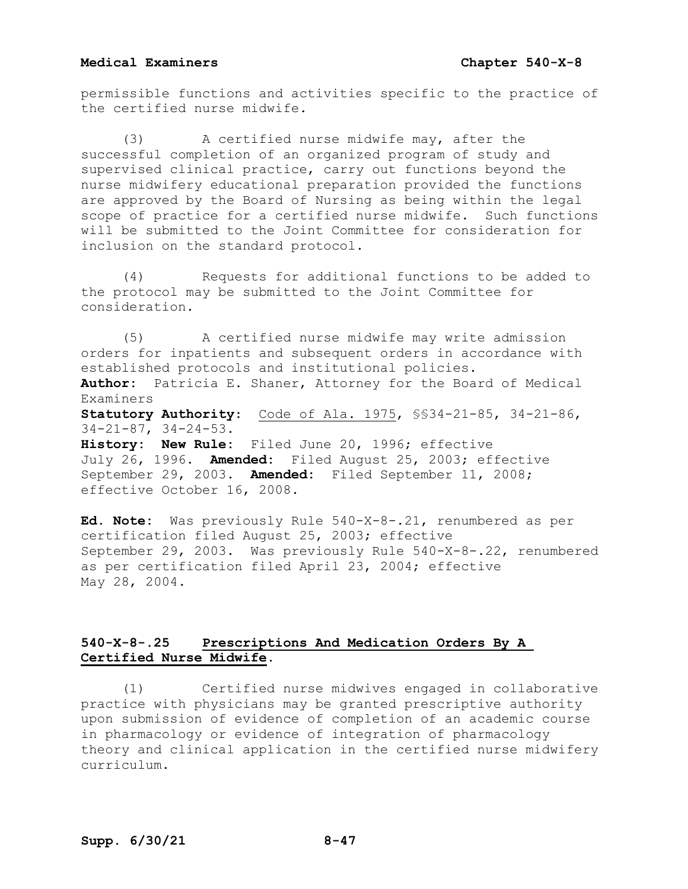permissible functions and activities specific to the practice of the certified nurse midwife.

(3) A certified nurse midwife may, after the successful completion of an organized program of study and supervised clinical practice, carry out functions beyond the nurse midwifery educational preparation provided the functions are approved by the Board of Nursing as being within the legal scope of practice for a certified nurse midwife. Such functions will be submitted to the Joint Committee for consideration for inclusion on the standard protocol.

(4) Requests for additional functions to be added to the protocol may be submitted to the Joint Committee for consideration.

(5) A certified nurse midwife may write admission orders for inpatients and subsequent orders in accordance with established protocols and institutional policies. **Author:** Patricia E. Shaner, Attorney for the Board of Medical Examiners **Statutory Authority**: Code of Ala. 1975, §§34-21-85, 34-21-86, 34-21-87, 34-24-53. **History: New Rule:** Filed June 20, 1996; effective July 26, 1996. **Amended:** Filed August 25, 2003; effective September 29, 2003. **Amended:** Filed September 11, 2008; effective October 16, 2008.

**Ed. Note:** Was previously Rule 540-X-8-.21, renumbered as per certification filed August 25, 2003; effective September 29, 2003. Was previously Rule 540-X-8-.22, renumbered as per certification filed April 23, 2004; effective May 28, 2004.

# **540-X-8-.25 Prescriptions And Medication Orders By A Certified Nurse Midwife.**

(1) Certified nurse midwives engaged in collaborative practice with physicians may be granted prescriptive authority upon submission of evidence of completion of an academic course in pharmacology or evidence of integration of pharmacology theory and clinical application in the certified nurse midwifery curriculum.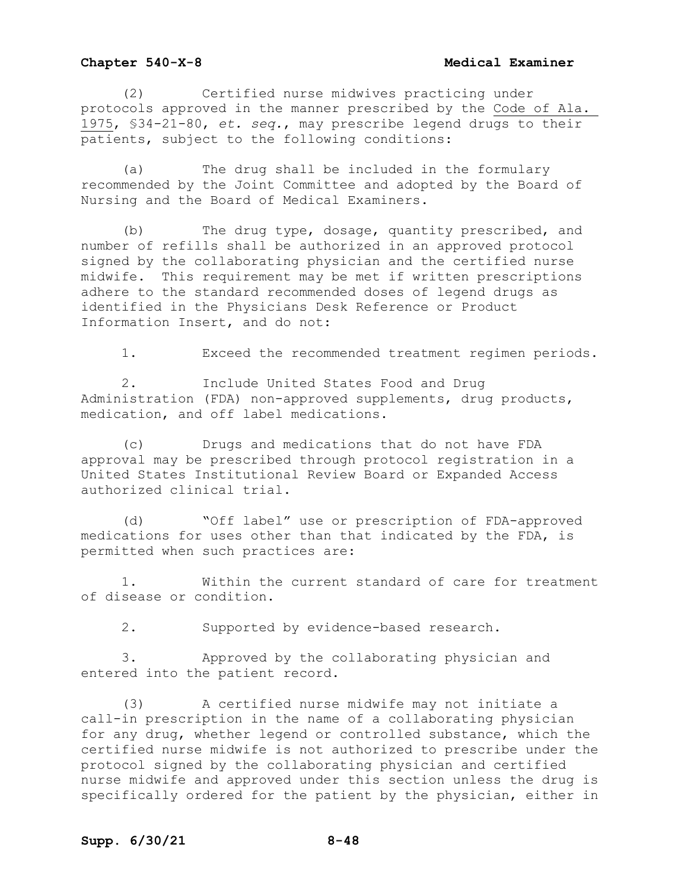(2) Certified nurse midwives practicing under protocols approved in the manner prescribed by the Code of Ala. 1975, §34-21-80, *et. seq.*, may prescribe legend drugs to their patients, subject to the following conditions:

(a) The drug shall be included in the formulary recommended by the Joint Committee and adopted by the Board of Nursing and the Board of Medical Examiners.

(b) The drug type, dosage, quantity prescribed, and number of refills shall be authorized in an approved protocol signed by the collaborating physician and the certified nurse midwife. This requirement may be met if written prescriptions adhere to the standard recommended doses of legend drugs as identified in the Physicians Desk Reference or Product Information Insert, and do not:

1. Exceed the recommended treatment regimen periods.

2. Include United States Food and Drug Administration (FDA) non-approved supplements, drug products, medication, and off label medications.

(c) Drugs and medications that do not have FDA approval may be prescribed through protocol registration in a United States Institutional Review Board or Expanded Access authorized clinical trial.

(d) "Off label" use or prescription of FDA-approved medications for uses other than that indicated by the FDA, is permitted when such practices are:

1. Within the current standard of care for treatment of disease or condition.

2. Supported by evidence-based research.

3. Approved by the collaborating physician and entered into the patient record.

(3) A certified nurse midwife may not initiate a call-in prescription in the name of a collaborating physician for any drug, whether legend or controlled substance, which the certified nurse midwife is not authorized to prescribe under the protocol signed by the collaborating physician and certified nurse midwife and approved under this section unless the drug is specifically ordered for the patient by the physician, either in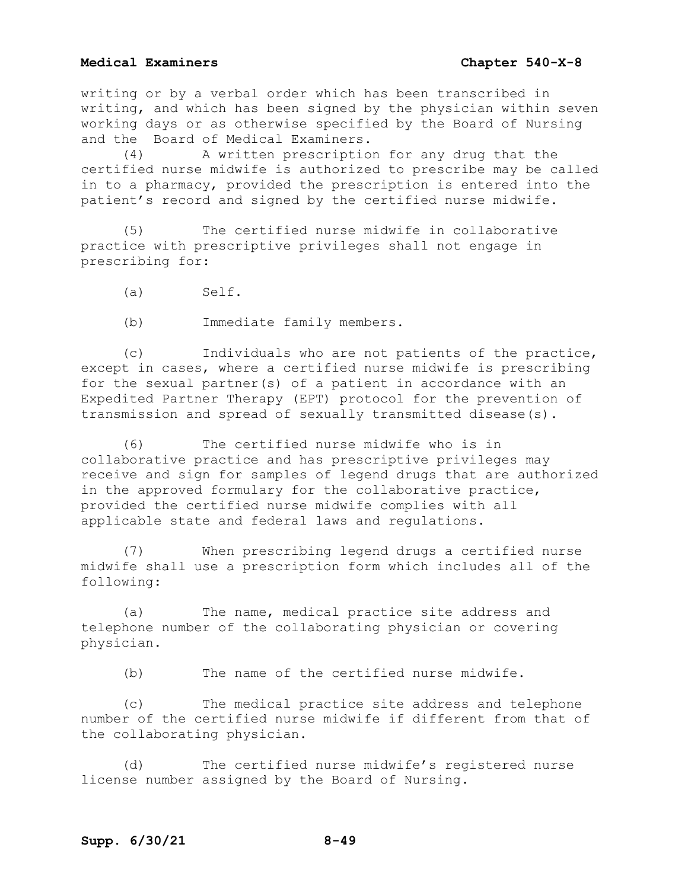writing or by a verbal order which has been transcribed in writing, and which has been signed by the physician within seven working days or as otherwise specified by the Board of Nursing and the Board of Medical Examiners.<br>(4) A written prescription

A written prescription for any drug that the certified nurse midwife is authorized to prescribe may be called in to a pharmacy, provided the prescription is entered into the patient's record and signed by the certified nurse midwife.

(5) The certified nurse midwife in collaborative practice with prescriptive privileges shall not engage in prescribing for:

(a) Self.

(b) Immediate family members.

(c) Individuals who are not patients of the practice, except in cases, where a certified nurse midwife is prescribing for the sexual partner(s) of a patient in accordance with an Expedited Partner Therapy (EPT) protocol for the prevention of transmission and spread of sexually transmitted disease(s).

(6) The certified nurse midwife who is in collaborative practice and has prescriptive privileges may receive and sign for samples of legend drugs that are authorized in the approved formulary for the collaborative practice, provided the certified nurse midwife complies with all applicable state and federal laws and regulations.

(7) When prescribing legend drugs a certified nurse midwife shall use a prescription form which includes all of the following:

(a) The name, medical practice site address and telephone number of the collaborating physician or covering physician.

(b) The name of the certified nurse midwife.

(c) The medical practice site address and telephone number of the certified nurse midwife if different from that of the collaborating physician.

(d) The certified nurse midwife's registered nurse license number assigned by the Board of Nursing.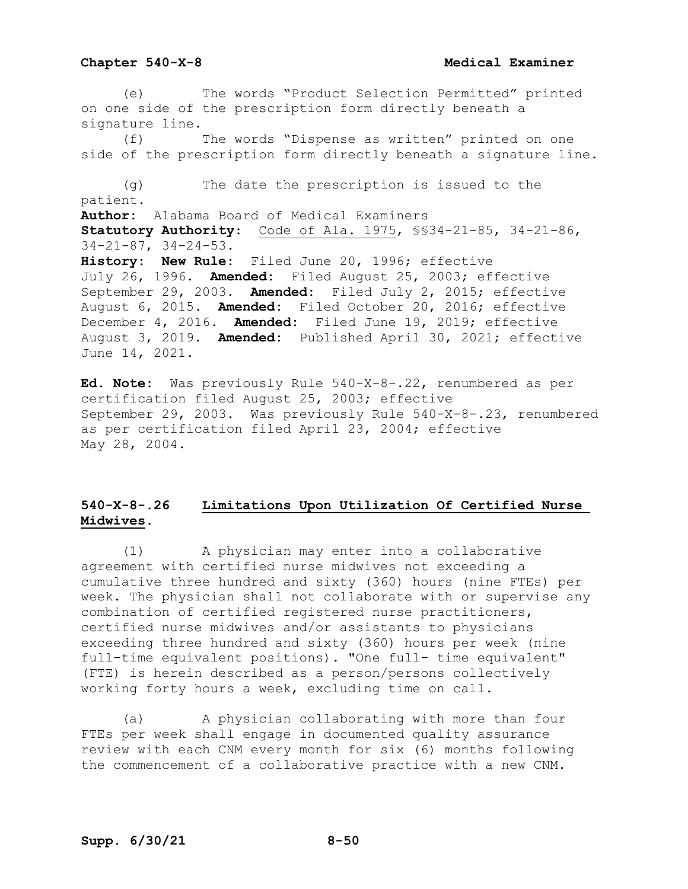### **Chapter 540-X-8 Medical Examiner**

(e) The words "Product Selection Permitted" printed on one side of the prescription form directly beneath a signature line.

(f) The words "Dispense as written" printed on one side of the prescription form directly beneath a signature line.

(g) The date the prescription is issued to the patient. **Author:** Alabama Board of Medical Examiners **Statutory Authority**: Code of Ala. 1975, §§34-21-85, 34-21-86, 34-21-87, 34-24-53. **History: New Rule:** Filed June 20, 1996; effective July 26, 1996. **Amended:** Filed August 25, 2003; effective September 29, 2003. **Amended:** Filed July 2, 2015; effective August 6, 2015. **Amended:** Filed October 20, 2016; effective December 4, 2016. **Amended:** Filed June 19, 2019; effective August 3, 2019. **Amended:** Published April 30, 2021; effective June 14, 2021.

**Ed. Note:** Was previously Rule 540-X-8-.22, renumbered as per certification filed August 25, 2003; effective September 29, 2003. Was previously Rule 540-X-8-.23, renumbered as per certification filed April 23, 2004; effective May 28, 2004.

# **540-X-8-.26 Limitations Upon Utilization Of Certified Nurse Midwives.**

(1) A physician may enter into a collaborative agreement with certified nurse midwives not exceeding a cumulative three hundred and sixty (360) hours (nine FTEs) per week. The physician shall not collaborate with or supervise any combination of certified registered nurse practitioners, certified nurse midwives and/or assistants to physicians exceeding three hundred and sixty (360) hours per week (nine full-time equivalent positions). "One full- time equivalent" (FTE) is herein described as a person/persons collectively working forty hours a week, excluding time on call.

(a) A physician collaborating with more than four FTEs per week shall engage in documented quality assurance review with each CNM every month for six (6) months following the commencement of a collaborative practice with a new CNM.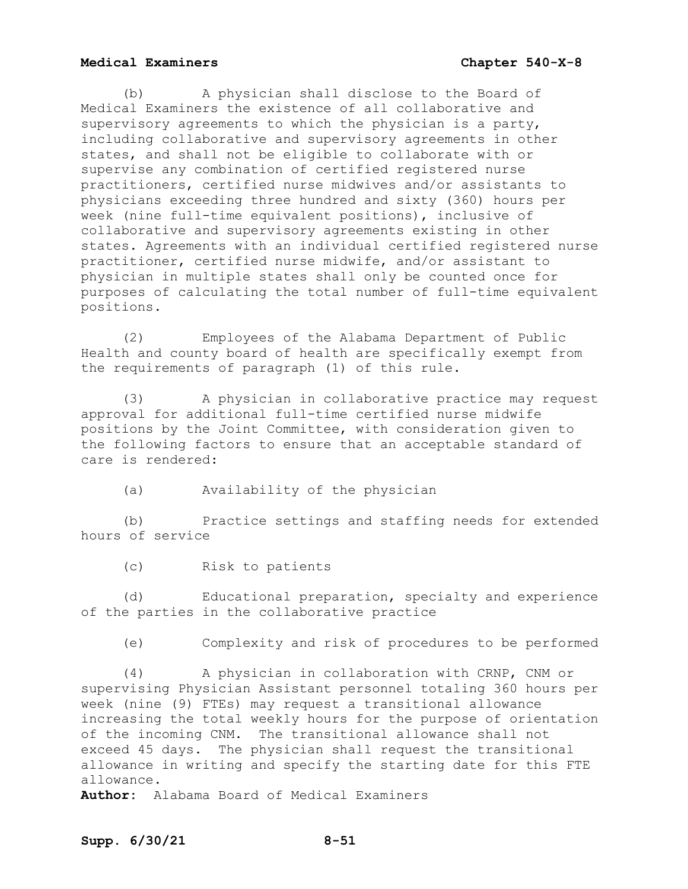(b) A physician shall disclose to the Board of Medical Examiners the existence of all collaborative and supervisory agreements to which the physician is a party, including collaborative and supervisory agreements in other states, and shall not be eligible to collaborate with or supervise any combination of certified registered nurse practitioners, certified nurse midwives and/or assistants to physicians exceeding three hundred and sixty (360) hours per week (nine full-time equivalent positions), inclusive of collaborative and supervisory agreements existing in other states. Agreements with an individual certified registered nurse practitioner, certified nurse midwife, and/or assistant to physician in multiple states shall only be counted once for purposes of calculating the total number of full-time equivalent positions.

(2) Employees of the Alabama Department of Public Health and county board of health are specifically exempt from the requirements of paragraph (1) of this rule.

(3) A physician in collaborative practice may request approval for additional full-time certified nurse midwife positions by the Joint Committee, with consideration given to the following factors to ensure that an acceptable standard of care is rendered:

(a) Availability of the physician

(b) Practice settings and staffing needs for extended hours of service

(c) Risk to patients

(d) Educational preparation, specialty and experience of the parties in the collaborative practice

(e) Complexity and risk of procedures to be performed

(4) A physician in collaboration with CRNP, CNM or supervising Physician Assistant personnel totaling 360 hours per week (nine (9) FTEs) may request a transitional allowance increasing the total weekly hours for the purpose of orientation of the incoming CNM. The transitional allowance shall not exceed 45 days. The physician shall request the transitional allowance in writing and specify the starting date for this FTE allowance.

**Author:** Alabama Board of Medical Examiners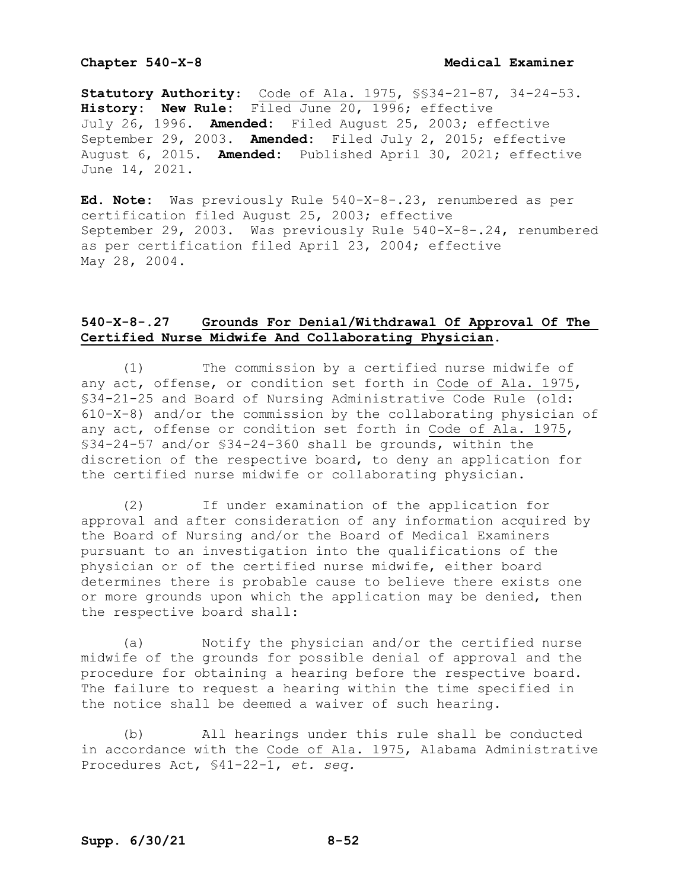**Statutory Authority**: Code of Ala. 1975, §§34-21-87, 34-24-53. **History: New Rule:** Filed June 20, 1996; effective July 26, 1996. **Amended:** Filed August 25, 2003; effective September 29, 2003. **Amended:** Filed July 2, 2015; effective August 6, 2015. **Amended:** Published April 30, 2021; effective June 14, 2021.

**Ed. Note:** Was previously Rule 540-X-8-.23, renumbered as per certification filed August 25, 2003; effective September 29, 2003. Was previously Rule 540-X-8-.24, renumbered as per certification filed April 23, 2004; effective May 28, 2004.

## **540-X-8-.27 Grounds For Denial/Withdrawal Of Approval Of The Certified Nurse Midwife And Collaborating Physician.**

(1) The commission by a certified nurse midwife of any act, offense, or condition set forth in Code of Ala. 1975, §34-21-25 and Board of Nursing Administrative Code Rule (old: 610-X-8) and/or the commission by the collaborating physician of any act, offense or condition set forth in Code of Ala. 1975, §34-24-57 and/or §34-24-360 shall be grounds, within the discretion of the respective board, to deny an application for the certified nurse midwife or collaborating physician.

(2) If under examination of the application for approval and after consideration of any information acquired by the Board of Nursing and/or the Board of Medical Examiners pursuant to an investigation into the qualifications of the physician or of the certified nurse midwife, either board determines there is probable cause to believe there exists one or more grounds upon which the application may be denied, then the respective board shall:

(a) Notify the physician and/or the certified nurse midwife of the grounds for possible denial of approval and the procedure for obtaining a hearing before the respective board. The failure to request a hearing within the time specified in the notice shall be deemed a waiver of such hearing.

(b) All hearings under this rule shall be conducted in accordance with the Code of Ala. 1975, Alabama Administrative Procedures Act, §41-22-1, *et. seq.*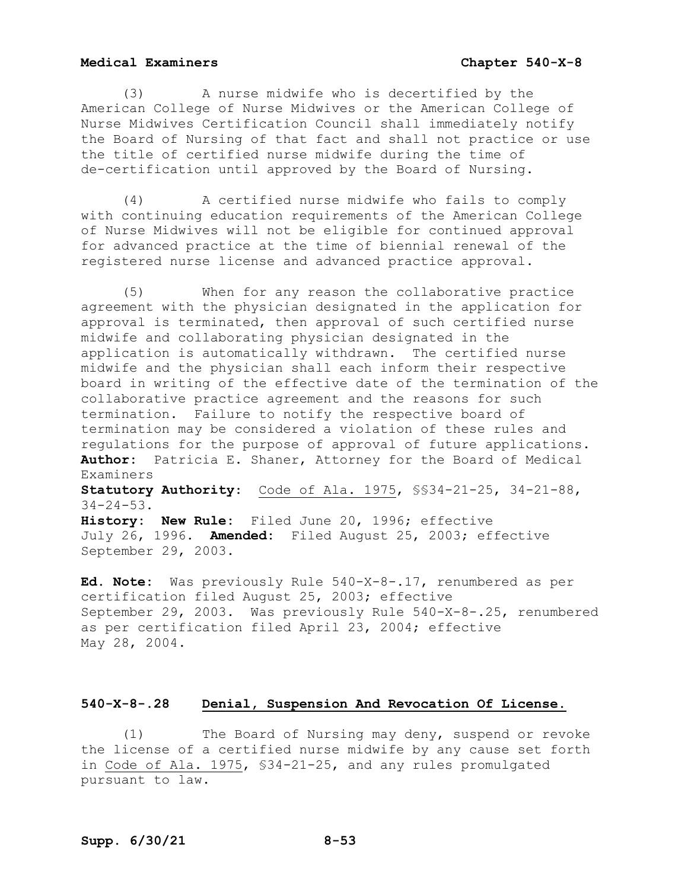(3) A nurse midwife who is decertified by the American College of Nurse Midwives or the American College of Nurse Midwives Certification Council shall immediately notify the Board of Nursing of that fact and shall not practice or use the title of certified nurse midwife during the time of de-certification until approved by the Board of Nursing.

(4) A certified nurse midwife who fails to comply with continuing education requirements of the American College of Nurse Midwives will not be eligible for continued approval for advanced practice at the time of biennial renewal of the registered nurse license and advanced practice approval.

(5) When for any reason the collaborative practice agreement with the physician designated in the application for approval is terminated, then approval of such certified nurse midwife and collaborating physician designated in the application is automatically withdrawn. The certified nurse midwife and the physician shall each inform their respective board in writing of the effective date of the termination of the collaborative practice agreement and the reasons for such termination. Failure to notify the respective board of termination may be considered a violation of these rules and regulations for the purpose of approval of future applications. **Author:** Patricia E. Shaner, Attorney for the Board of Medical Examiners

**Statutory Authority**: Code of Ala. 1975, §§34-21-25, 34-21-88, 34-24-53.

**History: New Rule:** Filed June 20, 1996; effective July 26, 1996. **Amended:** Filed August 25, 2003; effective September 29, 2003.

**Ed. Note:** Was previously Rule 540-X-8-.17, renumbered as per certification filed August 25, 2003; effective September 29, 2003. Was previously Rule 540-X-8-.25, renumbered as per certification filed April 23, 2004; effective May 28, 2004.

## **540-X-8-.28 Denial, Suspension And Revocation Of License.**

(1) The Board of Nursing may deny, suspend or revoke the license of a certified nurse midwife by any cause set forth in Code of Ala. 1975, §34-21-25, and any rules promulgated pursuant to law.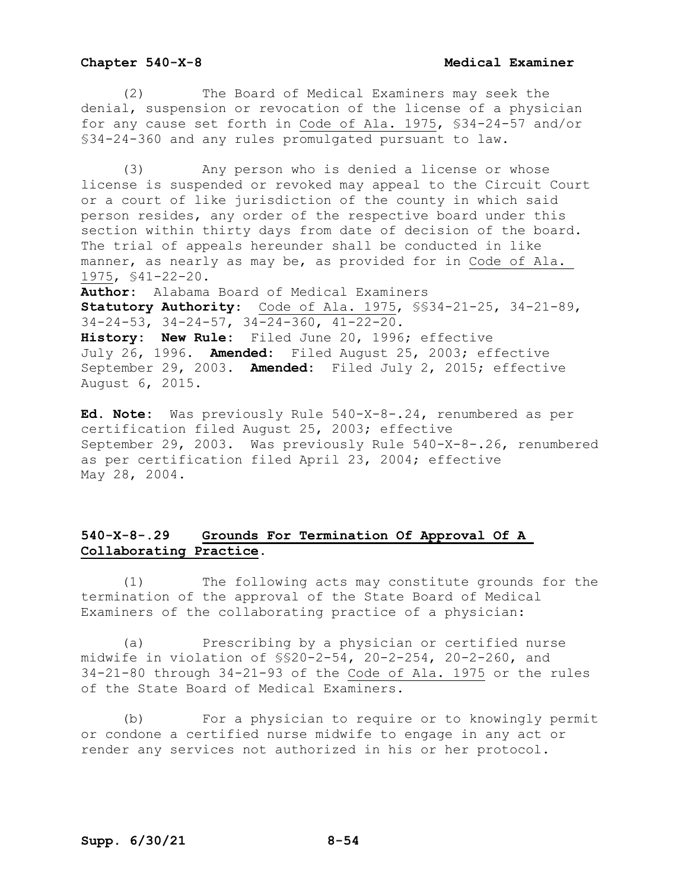(2) The Board of Medical Examiners may seek the denial, suspension or revocation of the license of a physician for any cause set forth in Code of Ala. 1975, §34-24-57 and/or §34-24-360 and any rules promulgated pursuant to law.

(3) Any person who is denied a license or whose license is suspended or revoked may appeal to the Circuit Court or a court of like jurisdiction of the county in which said person resides, any order of the respective board under this section within thirty days from date of decision of the board. The trial of appeals hereunder shall be conducted in like manner, as nearly as may be, as provided for in Code of Ala. 1975, §41-22-20.

**Author:** Alabama Board of Medical Examiners **Statutory Authority**: Code of Ala. 1975, §§34-21-25, 34-21-89, 34-24-53, 34-24-57, 34-24-360, 41-22-20. **History: New Rule:** Filed June 20, 1996; effective July 26, 1996. **Amended:** Filed August 25, 2003; effective September 29, 2003. **Amended:** Filed July 2, 2015; effective August 6, 2015.

**Ed. Note:** Was previously Rule 540-X-8-.24, renumbered as per certification filed August 25, 2003; effective September 29, 2003. Was previously Rule 540-X-8-.26, renumbered as per certification filed April 23, 2004; effective May 28, 2004.

# **540-X-8-.29 Grounds For Termination Of Approval Of A Collaborating Practice.**

(1) The following acts may constitute grounds for the termination of the approval of the State Board of Medical Examiners of the collaborating practice of a physician:

(a) Prescribing by a physician or certified nurse midwife in violation of §§20-2-54, 20-2-254, 20-2-260, and 34-21-80 through 34-21-93 of the Code of Ala. 1975 or the rules of the State Board of Medical Examiners.

(b) For a physician to require or to knowingly permit or condone a certified nurse midwife to engage in any act or render any services not authorized in his or her protocol.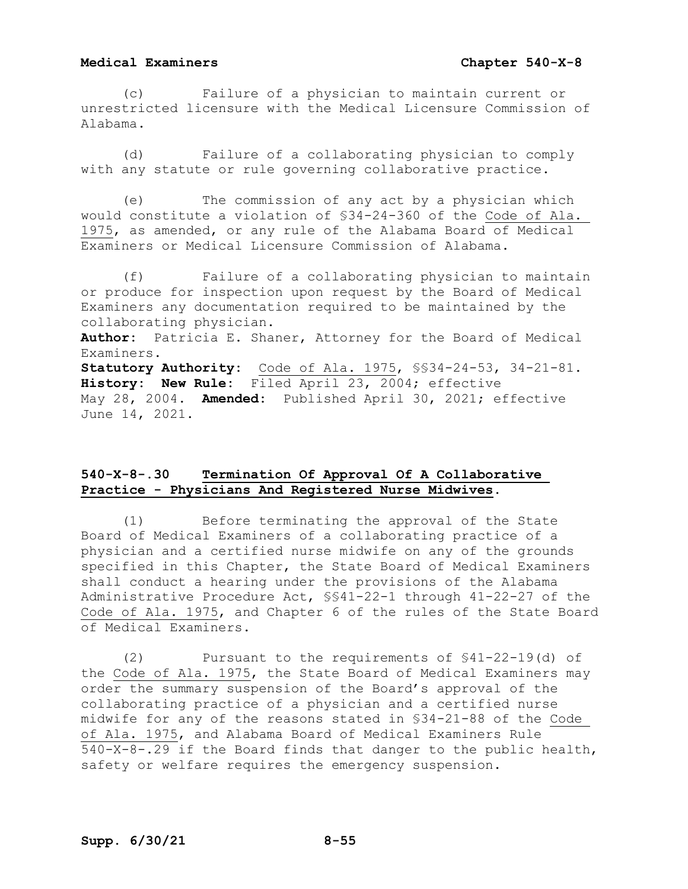(c) Failure of a physician to maintain current or unrestricted licensure with the Medical Licensure Commission of Alabama.

(d) Failure of a collaborating physician to comply with any statute or rule governing collaborative practice.

(e) The commission of any act by a physician which would constitute a violation of §34-24-360 of the Code of Ala. 1975, as amended, or any rule of the Alabama Board of Medical Examiners or Medical Licensure Commission of Alabama.

(f) Failure of a collaborating physician to maintain or produce for inspection upon request by the Board of Medical Examiners any documentation required to be maintained by the collaborating physician. **Author:** Patricia E. Shaner, Attorney for the Board of Medical Examiners. **Statutory Authority:** Code of Ala. 1975, §§34-24-53, 34-21-81. **History: New Rule:** Filed April 23, 2004; effective May 28, 2004. **Amended:** Published April 30, 2021; effective

June 14, 2021.

# **540-X-8-.30 Termination Of Approval Of A Collaborative Practice - Physicians And Registered Nurse Midwives**.

(1) Before terminating the approval of the State Board of Medical Examiners of a collaborating practice of a physician and a certified nurse midwife on any of the grounds specified in this Chapter, the State Board of Medical Examiners shall conduct a hearing under the provisions of the Alabama Administrative Procedure Act, §§41-22-1 through 41-22-27 of the Code of Ala. 1975, and Chapter 6 of the rules of the State Board of Medical Examiners.

(2) Pursuant to the requirements of §41-22-19(d) of the Code of Ala. 1975, the State Board of Medical Examiners may order the summary suspension of the Board's approval of the collaborating practice of a physician and a certified nurse midwife for any of the reasons stated in §34-21-88 of the Code of Ala. 1975, and Alabama Board of Medical Examiners Rule 540-X-8-.29 if the Board finds that danger to the public health, safety or welfare requires the emergency suspension.